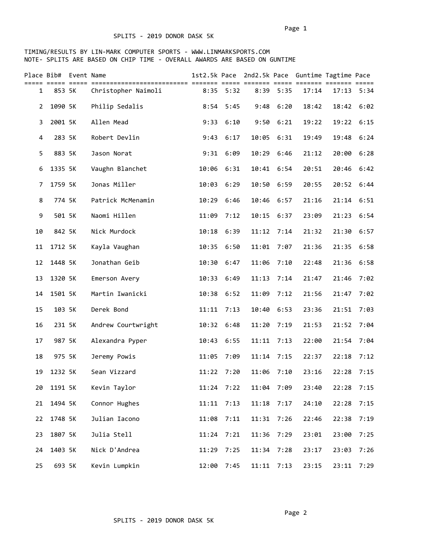|                | Place Bib# Event Name |                     |       |               | 1st2.5k Pace 2nd2.5k Pace Guntime Tagtime Pace |              |       |              |      |  |
|----------------|-----------------------|---------------------|-------|---------------|------------------------------------------------|--------------|-------|--------------|------|--|
| $\mathbf{1}$   | 853 5K                | Christopher Naimoli |       | $8:35$ $5:32$ |                                                | 8:39 5:35    | 17:14 | $17:13$ 5:34 |      |  |
| $\overline{2}$ | 1090 5K               | Philip Sedalis      | 8:54  | 5:45          | 9:48                                           | 6:20         | 18:42 | 18:42        | 6:02 |  |
| 3              | 2001 5K               | Allen Mead          | 9:33  | 6:10          | 9:50                                           | 6:21         | 19:22 | 19:22 6:15   |      |  |
| 4              | 283 5K                | Robert Devlin       | 9:43  | 6:17          | 10:05                                          | 6:31         | 19:49 | 19:48        | 6:24 |  |
| 5              | 883 5K                | Jason Norat         | 9:31  | 6:09          | 10:29                                          | 6:46         | 21:12 | 20:00        | 6:28 |  |
| 6              | 1335 5K               | Vaughn Blanchet     | 10:06 | 6:31          | 10:41                                          | 6:54         | 20:51 | 20:46 6:42   |      |  |
| 7              | 1759 5K               | Jonas Miller        | 10:03 | 6:29          | 10:50 6:59                                     |              | 20:55 | 20:52 6:44   |      |  |
| 8              | 774 5K                | Patrick McMenamin   | 10:29 | 6:46          | 10:46                                          | 6:57         | 21:16 | 21:14 6:51   |      |  |
| 9              | 501 5K                | Naomi Hillen        | 11:09 | 7:12          | 10:15                                          | 6:37         | 23:09 | 21:23        | 6:54 |  |
| 10             | 842 5K                | Nick Murdock        | 10:18 | 6:39          | 11:12                                          | 7:14         | 21:32 | 21:30        | 6:57 |  |
| 11             | 1712 5K               | Kayla Vaughan       | 10:35 | 6:50          | 11:01                                          | 7:07         | 21:36 | 21:35        | 6:58 |  |
| 12             | 1448 5K               | Jonathan Geib       | 10:30 | 6:47          | 11:06                                          | 7:10         | 22:48 | 21:36        | 6:58 |  |
| 13             | 1320 5K               | Emerson Avery       | 10:33 | 6:49          | 11:13                                          | 7:14         | 21:47 | 21:46        | 7:02 |  |
| 14             | 1501 5K               | Martin Iwanicki     | 10:38 | 6:52          | 11:09                                          | 7:12         | 21:56 | 21:47        | 7:02 |  |
| 15             | 103 5K                | Derek Bond          | 11:11 | 7:13          | 10:40 6:53                                     |              | 23:36 | 21:51        | 7:03 |  |
| 16             | 231 5K                | Andrew Courtwright  |       | 10:32 6:48    | 11:20                                          | 7:19         | 21:53 | 21:52        | 7:04 |  |
| 17             | 987 5K                | Alexandra Pyper     | 10:43 | 6:55          | 11:11                                          | 7:13         | 22:00 | 21:54        | 7:04 |  |
| 18             | 975 5K                | Jeremy Powis        | 11:05 | 7:09          | 11:14                                          | 7:15         | 22:37 | 22:18        | 7:12 |  |
| 19             | 1232 5K               | Sean Vizzard        | 11:22 | 7:20          | 11:06                                          | 7:10         | 23:16 | 22:28        | 7:15 |  |
| 20             | 1191 5K               | Kevin Taylor        | 11:24 | 7:22          | 11:04                                          | 7:09         | 23:40 | 22:28        | 7:15 |  |
| 21             | 1494 5K               | Connor Hughes       | 11:11 | 7:13          | 11:18                                          | 7:17         | 24:10 | 22:28        | 7:15 |  |
| 22             | 1748 5K               | Julian Iacono       | 11:08 | 7:11          | 11:31                                          | 7:26         | 22:46 | 22:38        | 7:19 |  |
| 23             | 1807 5K               | Julia Stell         | 11:24 | 7:21          | 11:36                                          | 7:29         | 23:01 | 23:00        | 7:25 |  |
| 24             | 1403 5K               | Nick D'Andrea       | 11:29 | 7:25          | 11:34                                          | 7:28         | 23:17 | 23:03        | 7:26 |  |
| 25             | 693 5K                | Kevin Lumpkin       | 12:00 | 7:45          |                                                | $11:11$ 7:13 | 23:15 | 23:11        | 7:29 |  |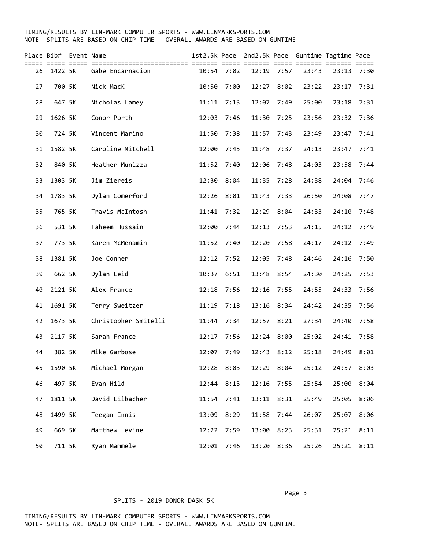### TIMING/RESULTS BY LIN-MARK COMPUTER SPORTS - WWW.LINMARKSPORTS.COM NOTE- SPLITS ARE BASED ON CHIP TIME - OVERALL AWARDS ARE BASED ON GUNTIME

| Place Bib#<br>===== |         | Event Name<br>$=$ $=$ $=$ $=$ |                      | 1st2.5k Pace | === ==     |       | === ===== === | 2nd2.5k Pace Guntime Tagtime Pace | .=== ======= ===== |      |  |
|---------------------|---------|-------------------------------|----------------------|--------------|------------|-------|---------------|-----------------------------------|--------------------|------|--|
| 26                  | 1422 5K |                               | Gabe Encarnacion     |              | 10:54 7:02 |       | $12:19$ 7:57  | 23:43                             | 23:13              | 7:30 |  |
| 27                  | 700 5K  |                               | Nick MacK            | 10:50        | 7:00       | 12:27 | 8:02          | 23:22                             | 23:17              | 7:31 |  |
| 28                  | 647 5K  |                               | Nicholas Lamey       | 11:11        | 7:13       | 12:07 | 7:49          | 25:00                             | 23:18              | 7:31 |  |
| 29                  | 1626 5K |                               | Conor Porth          | 12:03        | 7:46       | 11:30 | 7:25          | 23:56                             | 23:32              | 7:36 |  |
| 30                  | 724 5K  |                               | Vincent Marino       | 11:50        | 7:38       | 11:57 | 7:43          | 23:49                             | 23:47              | 7:41 |  |
| 31                  | 1582 5K |                               | Caroline Mitchell    | 12:00        | 7:45       | 11:48 | 7:37          | 24:13                             | 23:47              | 7:41 |  |
| 32                  | 840 5K  |                               | Heather Munizza      | 11:52        | 7:40       | 12:06 | 7:48          | 24:03                             | 23:58              | 7:44 |  |
| 33                  | 1303 5K |                               | Jim Ziereis          | 12:30        | 8:04       |       | 11:35 7:28    | 24:38                             | 24:04              | 7:46 |  |
| 34                  | 1783 5K |                               | Dylan Comerford      | 12:26        | 8:01       | 11:43 | 7:33          | 26:50                             | 24:08              | 7:47 |  |
| 35                  | 765 5K  |                               | Travis McIntosh      | 11:41        | 7:32       | 12:29 | 8:04          | 24:33                             | 24:10              | 7:48 |  |
| 36                  | 531 5K  |                               | Faheem Hussain       | 12:00        | 7:44       | 12:13 | 7:53          | 24:15                             | 24:12              | 7:49 |  |
| 37                  | 773 5K  |                               | Karen McMenamin      | 11:52        | 7:40       | 12:20 | 7:58          | 24:17                             | 24:12              | 7:49 |  |
| 38                  | 1381 5K |                               | Joe Conner           | 12:12        | 7:52       | 12:05 | 7:48          | 24:46                             | 24:16              | 7:50 |  |
| 39                  | 662 5K  |                               | Dylan Leid           | 10:37        | 6:51       | 13:48 | 8:54          | 24:30                             | 24:25              | 7:53 |  |
| 40                  | 2121 5K |                               | Alex France          | 12:18        | 7:56       | 12:16 | 7:55          | 24:55                             | 24:33              | 7:56 |  |
| 41                  | 1691 5K |                               | Terry Sweitzer       | 11:19        | 7:18       |       | 13:16 8:34    | 24:42                             | 24:35              | 7:56 |  |
| 42                  | 1673 5K |                               | Christopher Smitelli | 11:44        | 7:34       |       | 12:57 8:21    | 27:34                             | 24:40              | 7:58 |  |
| 43                  | 2117 5K |                               | Sarah France         | 12:17        | 7:56       | 12:24 | 8:00          | 25:02                             | 24:41              | 7:58 |  |
| 44                  | 382 5K  |                               | Mike Garbose         | 12:07        | 7:49       | 12:43 | 8:12          | 25:18                             | 24:49              | 8:01 |  |
| 45                  | 1590 5K |                               | Michael Morgan       |              | 12:28 8:03 | 12:29 | 8:04          | 25:12                             | 24:57              | 8:03 |  |
| 46                  | 497 5K  |                               | Evan Hild            |              | 12:44 8:13 | 12:16 | 7:55          | 25:54                             | 25:00              | 8:04 |  |
| 47                  | 1811 5K |                               | David Eilbacher      | 11:54        | 7:41       | 13:11 | 8:31          | 25:49                             | 25:05              | 8:06 |  |
| 48                  | 1499 5K |                               | Teegan Innis         | 13:09        | 8:29       | 11:58 | 7:44          | 26:07                             | 25:07              | 8:06 |  |
| 49                  | 669 5K  |                               | Matthew Levine       |              | 12:22 7:59 | 13:00 | 8:23          | 25:31                             | 25:21              | 8:11 |  |
| 50                  | 711 5K  |                               | Ryan Mammele         | 12:01        | 7:46       | 13:20 | 8:36          | 25:26                             | 25:21              | 8:11 |  |

#### SPLITS - 2019 DONOR DASK 5K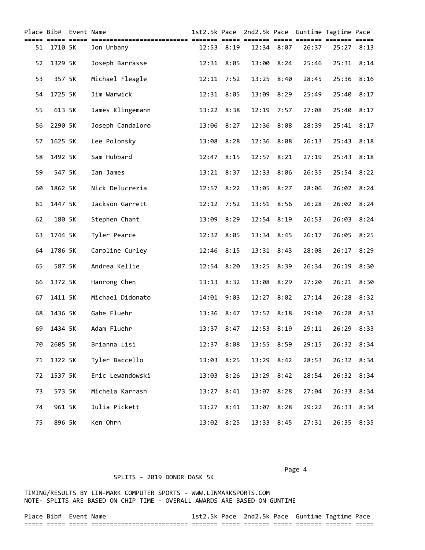|    |         | Place Bib# Event Name |                  |       |              |       |            | 1st2.5k Pace 2nd2.5k Pace Guntime Tagtime Pace |       |            |
|----|---------|-----------------------|------------------|-------|--------------|-------|------------|------------------------------------------------|-------|------------|
| 51 | 1710 5K |                       | Jon Urbany       | 12:53 | 8:19         |       | 12:34 8:07 | 26:37                                          |       | 25:27 8:13 |
| 52 | 1329 5K |                       | Joseph Barrasse  | 12:31 | 8:05         | 13:00 | 8:24       | 25:46                                          |       | 25:31 8:14 |
| 53 | 357 5K  |                       | Michael Fleagle  |       | $12:11$ 7:52 |       | 13:25 8:40 | 28:45                                          | 25:36 | 8:16       |
| 54 | 1725 5K |                       | Jim Warwick      |       | 12:31 8:05   | 13:09 | 8:29       | 25:49                                          |       | 25:40 8:17 |
| 55 | 613 5K  |                       | James Klingemann |       | 13:22 8:38   | 12:19 | 7:57       | 27:08                                          |       | 25:40 8:17 |
| 56 | 2290 5K |                       | Joseph Candaloro |       | 13:06 8:27   |       | 12:36 8:08 | 28:39                                          |       | 25:41 8:17 |
| 57 | 1625 5K |                       | Lee Polonsky     | 13:08 | 8:28         | 12:36 | 8:08       | 26:13                                          | 25:43 | 8:18       |
| 58 | 1492 5K |                       | Sam Hubbard      | 12:47 | 8:15         | 12:57 | 8:21       | 27:19                                          | 25:43 | 8:18       |
| 59 | 547 5K  |                       | Ian James        | 13:21 | 8:37         | 12:33 | 8:06       | 26:35                                          | 25:54 | 8:22       |
| 60 | 1862 5K |                       | Nick Delucrezia  | 12:57 | 8:22         | 13:05 | 8:27       | 28:06                                          | 26:02 | 8:24       |
| 61 | 1447 5K |                       | Jackson Garrett  | 12:12 | 7:52         |       | 13:51 8:56 | 26:28                                          | 26:02 | 8:24       |
| 62 | 180 5K  |                       | Stephen Chant    | 13:09 | 8:29         |       | 12:54 8:19 | 26:53                                          | 26:03 | 8:24       |
| 63 | 1744 5K |                       | Tyler Pearce     |       | 12:32 8:05   |       | 13:34 8:45 | 26:17                                          | 26:05 | 8:25       |
| 64 | 1786 5K |                       | Caroline Curley  |       | 12:46 8:15   |       | 13:31 8:43 | 28:08                                          |       | 26:17 8:29 |
| 65 | 587 5K  |                       | Andrea Kellie    | 12:54 | 8:20         |       | 13:25 8:39 | 26:34                                          | 26:19 | 8:30       |
| 66 | 1372 5K |                       | Hanrong Chen     | 13:13 | 8:32         | 13:08 | 8:29       | 27:20                                          |       | 26:21 8:30 |
| 67 | 1411 5K |                       | Michael Didonato | 14:01 | 9:03         | 12:27 | 8:02       | 27:14                                          | 26:28 | 8:32       |
| 68 | 1436 5K |                       | Gabe Fluehr      | 13:36 | 8:47         | 12:52 | 8:18       | 29:10                                          | 26:28 | 8:33       |
| 69 | 1434 5K |                       | Adam Fluehr      | 13:37 | 8:47         | 12:53 | 8:19       | 29:11                                          | 26:29 | 8:33       |
| 70 | 2605 5K |                       | Brianna Lisi     |       | 12:37 8:08   |       | 13:55 8:59 | 29:15                                          |       | 26:32 8:34 |
| 71 | 1322 5K |                       | Tyler Baccello   |       | 13:03 8:25   | 13:29 | 8:42       | 28:53                                          |       | 26:32 8:34 |
| 72 | 1537 5K |                       | Eric Lewandowski |       | 13:03 8:26   | 13:29 | 8:42       | 28:54                                          |       | 26:32 8:34 |
| 73 | 573 5K  |                       | Michela Karrash  |       | 13:27 8:41   | 13:07 | 8:28       | 27:04                                          | 26:33 | 8:34       |
| 74 | 961 5K  |                       | Julia Pickett    |       | 13:27 8:41   |       | 13:07 8:28 | 29:22                                          |       | 26:33 8:34 |
| 75 | 896 5k  |                       | Ken Ohrn         |       | 13:02 8:25   |       | 13:33 8:45 | 27:31                                          |       | 26:35 8:35 |

### TIMING/RESULTS BY LIN-MARK COMPUTER SPORTS - WWW.LINMARKSPORTS.COM NOTE- SPLITS ARE BASED ON CHIP TIME - OVERALL AWARDS ARE BASED ON GUNTIME

|  | Place Bib# Event Name |                                                                 |                     |                  | 1st2.5k Pace 2nd2.5k Pace Guntime Tagtime Pace |                 |                     |          |                 |
|--|-----------------------|-----------------------------------------------------------------|---------------------|------------------|------------------------------------------------|-----------------|---------------------|----------|-----------------|
|  |                       | ___________________________<br>----- -------------------------- | _______<br>________ | ______<br>------ | -------                                        | ______<br>_____ | _______<br>-------- | -------- | ______<br>----- |

Page 4 and the state of the state of the state of the state of the state of the state of the state of the state of the state of the state of the state of the state of the state of the state of the state of the state of the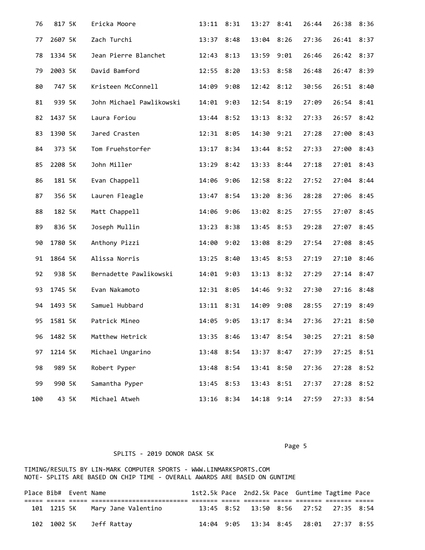| 76  | 817 5K  |       | Ericka Moore             | 13:11      | 8:31 | 13:27      | 8:41 | 26:44 | 26:38      | 8:36 |
|-----|---------|-------|--------------------------|------------|------|------------|------|-------|------------|------|
| 77  | 2607 5K |       | Zach Turchi              | 13:37      | 8:48 | 13:04      | 8:26 | 27:36 | 26:41      | 8:37 |
| 78  | 1334 5K |       | Jean Pierre Blanchet     | 12:43      | 8:13 | 13:59      | 9:01 | 26:46 | 26:42      | 8:37 |
| 79  | 2003 5K |       | David Bamford            | 12:55      | 8:20 | 13:53      | 8:58 | 26:48 | 26:47      | 8:39 |
| 80  | 747 5K  |       | Kristeen McConnell       | 14:09      | 9:08 | 12:42      | 8:12 | 30:56 | 26:51      | 8:40 |
| 81  | 939 5K  |       | John Michael Pawlikowski | 14:01      | 9:03 | 12:54 8:19 |      | 27:09 | 26:54      | 8:41 |
| 82  | 1437 5K |       | Laura Foriou             | 13:44      | 8:52 | 13:13      | 8:32 | 27:33 | 26:57      | 8:42 |
| 83  | 1390 5K |       | Jared Crasten            | 12:31      | 8:05 | 14:30 9:21 |      | 27:28 | 27:00      | 8:43 |
| 84  | 373 5K  |       | Tom Fruehstorfer         | 13:17      | 8:34 | 13:44 8:52 |      | 27:33 | 27:00      | 8:43 |
| 85  | 2208 5K |       | John Miller              | 13:29      | 8:42 | 13:33      | 8:44 | 27:18 | 27:01      | 8:43 |
| 86  | 181 5K  |       | Evan Chappell            | 14:06      | 9:06 | 12:58      | 8:22 | 27:52 | 27:04      | 8:44 |
| 87  | 356 5K  |       | Lauren Fleagle           | 13:47      | 8:54 | 13:20      | 8:36 | 28:28 | 27:06      | 8:45 |
| 88  | 182 5K  |       | Matt Chappell            | 14:06      | 9:06 | 13:02      | 8:25 | 27:55 | 27:07      | 8:45 |
| 89  | 836 5K  |       | Joseph Mullin            | 13:23      | 8:38 | 13:45      | 8:53 | 29:28 | 27:07      | 8:45 |
| 90  | 1780 5K |       | Anthony Pizzi            | 14:00      | 9:02 | 13:08      | 8:29 | 27:54 | 27:08      | 8:45 |
| 91  | 1864 5K |       | Alissa Norris            | 13:25      | 8:40 | 13:45      | 8:53 | 27:19 | 27:10      | 8:46 |
| 92  | 938 5K  |       | Bernadette Pawlikowski   | 14:01      | 9:03 | 13:13 8:32 |      | 27:29 | 27:14      | 8:47 |
| 93  | 1745 5K |       | Evan Nakamoto            | 12:31      | 8:05 | 14:46      | 9:32 | 27:30 | 27:16      | 8:48 |
| 94  | 1493 5K |       | Samuel Hubbard           | 13:11      | 8:31 | 14:09      | 9:08 | 28:55 | 27:19      | 8:49 |
| 95  | 1581 5K |       | Patrick Mineo            | 14:05      | 9:05 | 13:17      | 8:34 | 27:36 | 27:21      | 8:50 |
| 96  | 1482 5K |       | Matthew Hetrick          | 13:35 8:46 |      | 13:47      | 8:54 | 30:25 | 27:21 8:50 |      |
| 97  | 1214 5K |       | Michael Ungarino         | 13:48      | 8:54 | 13:37      | 8:47 | 27:39 | 27:25      | 8:51 |
| 98  | 989 5K  |       | Robert Pyper             | 13:48      | 8:54 | 13:41      | 8:50 | 27:36 | 27:28      | 8:52 |
| 99  | 990 5K  |       | Samantha Pyper           | 13:45      | 8:53 | 13:43      | 8:51 | 27:37 | 27:28      | 8:52 |
| 100 |         | 43 5K | Michael Atweh            | 13:16 8:34 |      | 14:18      | 9:14 | 27:59 | 27:33      | 8:54 |

Page 5 and 2012 and 2012 and 2012 and 2012 and 2012 and 2012 and 2012 and 2012 and 2012 and 2012 and 2012 and

# SPLITS - 2019 DONOR DASK 5K

| Place Bib# Event Name |                                 |  | 1st2.5k Pace 2nd2.5k Pace Guntime Tagtime Pace |  |  |  |
|-----------------------|---------------------------------|--|------------------------------------------------|--|--|--|
|                       |                                 |  |                                                |  |  |  |
|                       | 101 1215 5K Mary Jane Valentino |  | 13:45 8:52 13:50 8:56 27:52 27:35 8:54         |  |  |  |
|                       | 102 1002 5K Jeff Rattay         |  | 14:04 9:05 13:34 8:45 28:01 27:37 8:55         |  |  |  |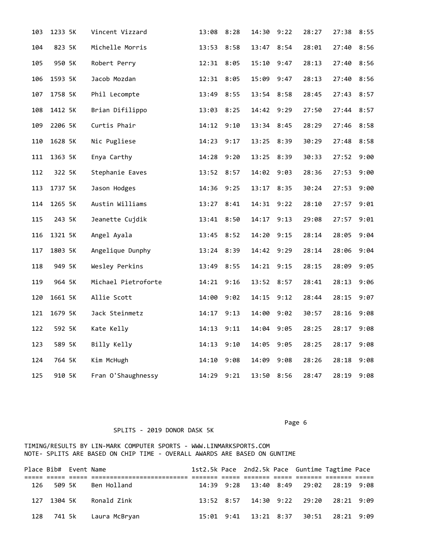| 103 | 1233 5K | Vincent Vizzard     | 13:08      | 8:28 | 14:30      | 9:22 | 28:27 | 27:38      | 8:55 |
|-----|---------|---------------------|------------|------|------------|------|-------|------------|------|
| 104 | 823 5K  | Michelle Morris     | 13:53      | 8:58 | 13:47      | 8:54 | 28:01 | 27:40      | 8:56 |
| 105 | 950 5K  | Robert Perry        | 12:31      | 8:05 | 15:10      | 9:47 | 28:13 | 27:40 8:56 |      |
| 106 | 1593 5K | Jacob Mozdan        | 12:31      | 8:05 | 15:09      | 9:47 | 28:13 | 27:40      | 8:56 |
| 107 | 1758 5K | Phil Lecompte       | 13:49      | 8:55 | 13:54 8:58 |      | 28:45 | 27:43      | 8:57 |
| 108 | 1412 5K | Brian Difilippo     | 13:03 8:25 |      | 14:42 9:29 |      | 27:50 | 27:44 8:57 |      |
| 109 | 2206 5K | Curtis Phair        | 14:12      | 9:10 | 13:34 8:45 |      | 28:29 | 27:46      | 8:58 |
| 110 | 1628 5K | Nic Pugliese        | 14:23      | 9:17 | 13:25      | 8:39 | 30:29 | 27:48      | 8:58 |
| 111 | 1363 5K | Enya Carthy         | 14:28      | 9:20 | 13:25 8:39 |      | 30:33 | 27:52      | 9:00 |
| 112 | 322 5K  | Stephanie Eaves     | 13:52      | 8:57 | 14:02      | 9:03 | 28:36 | 27:53      | 9:00 |
| 113 | 1737 5K | Jason Hodges        | 14:36      | 9:25 | 13:17      | 8:35 | 30:24 | 27:53      | 9:00 |
| 114 | 1265 5K | Austin Williams     | 13:27 8:41 |      | 14:31 9:22 |      | 28:10 | 27:57      | 9:01 |
| 115 | 243 5K  | Jeanette Cujdik     | 13:41      | 8:50 | 14:17      | 9:13 | 29:08 | 27:57      | 9:01 |
| 116 | 1321 5K | Angel Ayala         | 13:45      | 8:52 | 14:20      | 9:15 | 28:14 | 28:05      | 9:04 |
| 117 | 1803 5K | Angelique Dunphy    | 13:24 8:39 |      | 14:42 9:29 |      | 28:14 | 28:06      | 9:04 |
| 118 | 949 5K  | Wesley Perkins      | 13:49      | 8:55 | 14:21      | 9:15 | 28:15 | 28:09      | 9:05 |
| 119 | 964 5K  | Michael Pietroforte | 14:21      | 9:16 | 13:52      | 8:57 | 28:41 | 28:13      | 9:06 |
| 120 | 1661 5K | Allie Scott         | 14:00      | 9:02 | 14:15 9:12 |      | 28:44 | 28:15      | 9:07 |
| 121 | 1679 5K | Jack Steinmetz      | 14:17      | 9:13 | 14:00      | 9:02 | 30:57 | 28:16      | 9:08 |
| 122 | 592 5K  | Kate Kelly          | 14:13      | 9:11 | 14:04      | 9:05 | 28:25 | 28:17      | 9:08 |
| 123 | 589 5K  | Billy Kelly         | 14:13      | 9:10 | 14:05 9:05 |      | 28:25 | 28:17      | 9:08 |
| 124 | 764 5K  | Kim McHugh          | 14:10      | 9:08 | 14:09      | 9:08 | 28:26 | 28:18      | 9:08 |
| 125 | 910 5K  | Fran O'Shaughnessy  | 14:29      | 9:21 | 13:50      | 8:56 | 28:47 | 28:19      | 9:08 |

Page 6 and the contract of the contract of the contract of the contract of the contract of the contract of the

# SPLITS - 2019 DONOR DASK 5K

| Place Bib# Event Name |                          |  |  | 1st2.5k Pace 2nd2.5k Pace Guntime Tagtime Pace |  |
|-----------------------|--------------------------|--|--|------------------------------------------------|--|
|                       |                          |  |  |                                                |  |
|                       | 126 509 5K Ben Holland   |  |  | 14:39 9:28 13:40 8:49 29:02 28:19 9:08         |  |
|                       | 127 1304 5K Ronald Zink  |  |  | 13:52 8:57 14:30 9:22 29:20 28:21 9:09         |  |
|                       | 128 741 5k Laura McBryan |  |  | 15:01 9:41 13:21 8:37 30:51 28:21 9:09         |  |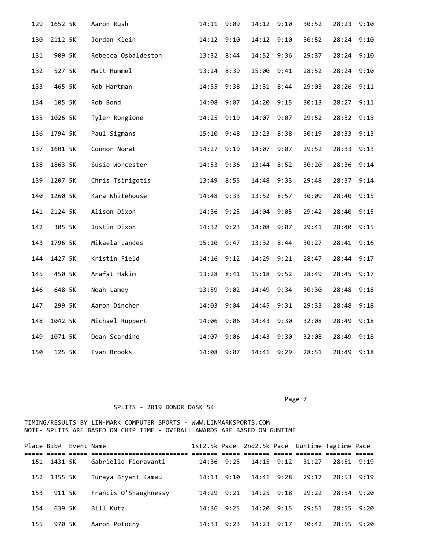| 129 | 1652 5K | Aaron Rush          | 14:11      | 9:09 | 14:12      | 9:10 | 30:52 | 28:23      | 9:10 |
|-----|---------|---------------------|------------|------|------------|------|-------|------------|------|
| 130 | 2112 5K | Jordan Klein        | 14:12      | 9:10 | 14:12      | 9:10 | 30:52 | 28:24      | 9:10 |
| 131 | 909 5K  | Rebecca Osbaldeston | 13:32      | 8:44 | 14:52      | 9:36 | 29:37 | 28:24      | 9:10 |
| 132 | 527 5K  | Matt Hummel         | 13:24 8:39 |      | 15:00      | 9:41 | 28:52 | 28:24 9:10 |      |
| 133 | 465 5K  | Rob Hartman         | 14:55      | 9:38 | 13:31      | 8:44 | 29:03 | 28:26      | 9:11 |
| 134 | 105 5K  | Rob Bond            | 14:08      | 9:07 | 14:20      | 9:15 | 30:13 | 28:27      | 9:11 |
| 135 | 1026 5K | Tyler Rongione      | 14:25      | 9:19 | 14:07 9:07 |      | 29:52 | 28:32 9:13 |      |
| 136 | 1794 5K | Paul Sigmans        | 15:10      | 9:48 | 13:23      | 8:38 | 30:19 | 28:33      | 9:13 |
| 137 | 1601 5K | Connor Norat        | 14:27      | 9:19 | 14:07      | 9:07 | 29:52 | 28:33      | 9:13 |
| 138 | 1863 5K | Susie Worcester     | 14:53      | 9:36 | 13:44      | 8:52 | 30:20 | 28:36      | 9:14 |
| 139 | 1207 5K | Chris Tsirigotis    | 13:49      | 8:55 | 14:48 9:33 |      | 29:48 | 28:37      | 9:14 |
| 140 | 1260 5K | Kara Whitehouse     | 14:48      | 9:33 | 13:52 8:57 |      | 30:09 | 28:40      | 9:15 |
| 141 | 2124 5K | Alison Dixon        | 14:36      | 9:25 | 14:04      | 9:05 | 29:42 | 28:40      | 9:15 |
| 142 | 305 5K  | Justin Dixon        | 14:32      | 9:23 | 14:08      | 9:07 | 29:41 | 28:40      | 9:15 |
| 143 | 1796 5K | Mikaela Landes      | 15:10      | 9:47 | 13:32 8:44 |      | 30:27 | 28:41      | 9:16 |
| 144 | 1427 5K | Kristin Field       | 14:16      | 9:12 | 14:29      | 9:21 | 28:47 | 28:44      | 9:17 |
| 145 | 450 5K  | Arafat Hakim        | 13:28      | 8:41 | 15:18      | 9:52 | 28:49 | 28:45      | 9:17 |
| 146 | 648 5K  | Noah Lamey          | 13:59      | 9:02 | 14:49      | 9:34 | 30:30 | 28:48      | 9:18 |
| 147 | 299 5K  | Aaron Dincher       | 14:03      | 9:04 | 14:45 9:31 |      | 29:33 | 28:48      | 9:18 |
| 148 | 1042 5K | Michael Ruppert     | 14:06      | 9:06 | 14:43      | 9:30 | 32:08 | 28:49      | 9:18 |
| 149 | 1071 5K | Dean Scardino       | 14:07      | 9:06 | 14:43      | 9:30 | 32:08 | 28:49      | 9:18 |
| 150 | 125 5K  | Evan Brooks         | 14:08      | 9:07 | 14:41      | 9:29 | 28:51 | 28:49      | 9:18 |

Page 7

|     | Place Bib# Event Name |                       |              |                |                             |                  | 1st2.5k Pace 2nd2.5k Pace Guntime Tagtime Pace |  |
|-----|-----------------------|-----------------------|--------------|----------------|-----------------------------|------------------|------------------------------------------------|--|
|     | 151 1431 5K           | Gabrielle Fioravanti  |              |                | 14:36 9:25 14:15 9:12 31:27 |                  | 28:51 9:19                                     |  |
|     | 152 1355 5K           | Turaya Bryant Kamau   |              | $14:13$ $9:10$ |                             | 14:41 9:28 29:17 | 28:53 9:19                                     |  |
| 153 | 911 5K                | Francis O'Shaughnessy | $14:29$ 9:21 |                | 14:25 9:18                  | 29:22            | 28:54 9:20                                     |  |
| 154 | 639 5K                | Bill Kutz             | 14:36 9:25   |                | 14:20 9:15                  | 29:51            | 28:55 9:20                                     |  |
| 155 | 970 5K                | Aaron Potocny         |              |                | 14:33 9:23 14:23 9:17       | 30:42            | 28:55 9:20                                     |  |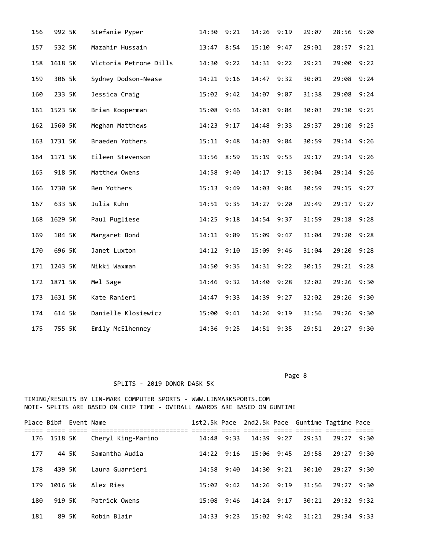| 156 | 992 5K  | Stefanie Pyper         | 14:30      | 9:21 | 14:26      | 9:19 | 29:07 | 28:56      | 9:20 |
|-----|---------|------------------------|------------|------|------------|------|-------|------------|------|
| 157 | 532 5K  | Mazahir Hussain        | 13:47      | 8:54 | 15:10      | 9:47 | 29:01 | 28:57      | 9:21 |
| 158 | 1618 5K | Victoria Petrone Dills | 14:30      | 9:22 | 14:31      | 9:22 | 29:21 | 29:00      | 9:22 |
| 159 | 306 5k  | Sydney Dodson-Nease    | 14:21      | 9:16 | 14:47      | 9:32 | 30:01 | 29:08      | 9:24 |
| 160 | 233 5K  | Jessica Craig          | 15:02      | 9:42 | 14:07      | 9:07 | 31:38 | 29:08      | 9:24 |
| 161 | 1523 5K | Brian Kooperman        | 15:08      | 9:46 | 14:03      | 9:04 | 30:03 | 29:10      | 9:25 |
| 162 | 1560 5K | Meghan Matthews        | 14:23      | 9:17 | 14:48 9:33 |      | 29:37 | 29:10      | 9:25 |
| 163 | 1731 5K | Braeden Yothers        | 15:11      | 9:48 | 14:03      | 9:04 | 30:59 | 29:14 9:26 |      |
| 164 | 1171 5K | Eileen Stevenson       | 13:56 8:59 |      | 15:19 9:53 |      | 29:17 | 29:14 9:26 |      |
| 165 | 918 5K  | Matthew Owens          | 14:58 9:40 |      | 14:17 9:13 |      | 30:04 | 29:14 9:26 |      |
| 166 | 1730 5K | Ben Yothers            | 15:13      | 9:49 | 14:03      | 9:04 | 30:59 | 29:15      | 9:27 |
| 167 | 633 5K  | Julia Kuhn             | 14:51      | 9:35 | 14:27      | 9:20 | 29:49 | 29:17      | 9:27 |
| 168 | 1629 5K | Paul Pugliese          | 14:25      | 9:18 | 14:54      | 9:37 | 31:59 | 29:18      | 9:28 |
| 169 | 104 5K  | Margaret Bond          | 14:11      | 9:09 | 15:09      | 9:47 | 31:04 | 29:20      | 9:28 |
| 170 | 696 5K  | Janet Luxton           | 14:12      | 9:10 | 15:09      | 9:46 | 31:04 | 29:20      | 9:28 |
| 171 | 1243 5K | Nikki Waxman           | 14:50      | 9:35 | 14:31      | 9:22 | 30:15 | 29:21      | 9:28 |
| 172 | 1871 5K | Mel Sage               | 14:46      | 9:32 | 14:40      | 9:28 | 32:02 | 29:26      | 9:30 |
| 173 | 1631 5K | Kate Ranieri           | 14:47      | 9:33 | 14:39      | 9:27 | 32:02 | 29:26      | 9:30 |
| 174 | 614 5k  | Danielle Klosiewicz    | 15:00      | 9:41 | 14:26      | 9:19 | 31:56 | 29:26 9:30 |      |
| 175 | 755 5K  | Emily McElhenney       | 14:36 9:25 |      | 14:51 9:35 |      | 29:51 | 29:27 9:30 |      |

Page 8 and 2012 and 2012 and 2012 and 2012 and 2012 and 2012 and 2012 and 2012 and 2012 and 2012 and 2012 and

|     | Place Bib# Event Name |                    |              |      | 1st2.5k Pace 2nd2.5k Pace Guntime Tagtime Pace |      |       |                |      |  |
|-----|-----------------------|--------------------|--------------|------|------------------------------------------------|------|-------|----------------|------|--|
|     | 176 1518 5K           | Cheryl King-Marino | $14:48$ 9:33 |      | 14:39 9:27                                     |      | 29:31 | $29:27$ 9:30   |      |  |
| 177 | 44 5K                 | Samantha Audia     | 14:22        | 9:16 | 15:06                                          | 9:45 | 29:58 | 29:27          | 9:30 |  |
| 178 | 439 5K                | Laura Guarrieri    | 14:58        | 9:40 | 14:30 9:21                                     |      | 30:10 | 29:27          | 9:30 |  |
| 179 | 1016 5k               | Alex Ries          | 15:02        | 9:42 | $14:26$ 9:19                                   |      | 31:56 | 29:27          | 9:30 |  |
| 180 | 919 5K                | Patrick Owens      | 15:08        | 9:46 | $14:24$ 9:17                                   |      | 30:21 | $29:32$ $9:32$ |      |  |
| 181 | 89 5K                 | Robin Blair        | 14:33        | 9:23 | $15:02$ $9:42$                                 |      | 31:21 | $29:34$ $9:33$ |      |  |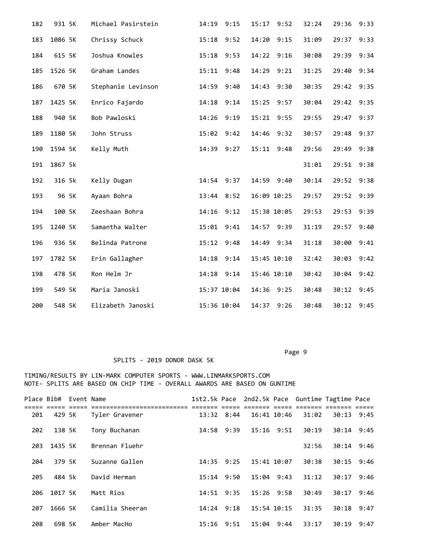| 182 | 931 5K  | Michael Pasirstein | 14:19        | 9:15 | 15:17       | 9:52 | 32:24 | 29:36      | 9:33 |
|-----|---------|--------------------|--------------|------|-------------|------|-------|------------|------|
| 183 | 1086 5K | Chrissy Schuck     | $15:18$ 9:52 |      | 14:20       | 9:15 | 31:09 | 29:37 9:33 |      |
| 184 | 615 5K  | Joshua Knowles     | 15:18        | 9:53 | 14:22       | 9:16 | 30:08 | 29:39 9:34 |      |
| 185 | 1526 5K | Graham Landes      | 15:11        | 9:48 | 14:29       | 9:21 | 31:25 | 29:40      | 9:34 |
| 186 | 670 5K  | Stephanie Levinson | 14:59        | 9:40 | 14:43 9:30  |      | 30:35 | 29:42 9:35 |      |
| 187 | 1425 5K | Enrico Fajardo     | 14:18        | 9:14 | 15:25       | 9:57 | 30:04 | 29:42      | 9:35 |
| 188 | 940 5K  | Bob Pawloski       | 14:26        | 9:19 | 15:21 9:55  |      | 29:55 | 29:47 9:37 |      |
| 189 | 1180 5K | John Struss        | 15:02 9:42   |      | 14:46       | 9:32 | 30:57 | 29:48      | 9:37 |
| 190 | 1594 5K | Kelly Muth         | 14:39 9:27   |      | 15:11 9:48  |      | 29:56 | 29:49      | 9:38 |
| 191 | 1867 5k |                    |              |      |             |      | 31:01 | 29:51 9:38 |      |
| 192 | 316 5k  | Kelly Dugan        | 14:54 9:37   |      | 14:59 9:40  |      | 30:14 | 29:52 9:38 |      |
| 193 | 96 5K   | Ayaan Bohra        | 13:44 8:52   |      | 16:09 10:25 |      | 29:57 | 29:52 9:39 |      |
| 194 | 100 5K  | Zeeshaan Bohra     | 14:16        | 9:12 | 15:38 10:05 |      | 29:53 | 29:53      | 9:39 |
| 195 | 1240 5K | Samantha Walter    | 15:01        | 9:41 | 14:57 9:39  |      | 31:19 | 29:57      | 9:40 |
| 196 | 936 5K  | Belinda Patrone    | 15:12 9:48   |      | 14:49 9:34  |      | 31:18 | 30:00      | 9:41 |
| 197 | 1782 5K | Erin Gallagher     | 14:18        | 9:14 | 15:45 10:10 |      | 32:42 | 30:03      | 9:42 |
| 198 | 478 5K  | Ron Helm Jr        | 14:18 9:14   |      | 15:46 10:10 |      | 30:42 | 30:04      | 9:42 |
| 199 | 549 5K  | Maria Janoski      | 15:37 10:04  |      | 14:36       | 9:25 | 30:48 | 30:12      | 9:45 |
| 200 | 548 5K  | Elizabeth Janoski  | 15:36 10:04  |      | 14:37       | 9:26 | 30:48 | 30:12      | 9:45 |

Page 9 - Page 9 - Page 9 - Page 9 - Page 9 - Page 9 - Page 9 - Page 9 - Page 9 - Page 9 - Page 9

### SPLITS - 2019 DONOR DASK 5K

| Place Bib# |         | Event Name |                 |       |                |                 |                | 1st2.5k Pace 2nd2.5k Pace Guntime Tagtime Pace |              |      |  |
|------------|---------|------------|-----------------|-------|----------------|-----------------|----------------|------------------------------------------------|--------------|------|--|
| 201        | 429 5K  |            | Tyler Gravener  |       | $13:32$ $8:44$ | 16:41 10:46     |                | 31:02                                          | 30:13        | 9:45 |  |
| 202        | 138 5K  |            | Tony Buchanan   |       | 14:58 9:39     | $15:16$ $9:51$  |                | 30:19                                          | $30:14$ 9:45 |      |  |
| 203        | 1435 5K |            | Brennan Fluehr  |       |                |                 |                | 32:56                                          | $30:14$ 9:46 |      |  |
| 204        | 379 5K  |            | Suzanne Gallen  | 14:35 | 9:25           |                 | 15:41 10:07    | 30:38                                          | 30:15        | 9:46 |  |
| 205        | 484 5k  |            | David Herman    | 15:14 | 9:50           |                 | $15:04$ $9:43$ | 31:12                                          | 30:17        | 9:46 |  |
| 206        | 1017 5K |            | Matt Rios       |       | $14:51$ 9:35   | $15:26$ 9:58    |                | 30:49                                          | 30:17        | 9:46 |  |
| 207        | 1666 5K |            | Camilia Sheeran |       | $14:24$ 9:18   | $15:54$ $10:15$ |                | 31:35                                          | 30:18        | 9:47 |  |
| 208        | 698 5K  |            | Amber MacHo     |       | $15:16$ $9:51$ |                 | $15:04$ 9:44   | 33:17                                          | 30:19        | 9:47 |  |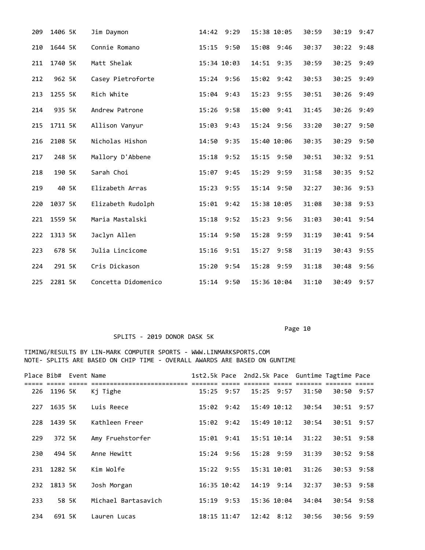| 209 | 1406 5K | Jim Daymon          | 14:42 9:29     |      | 15:38 10:05   | 30:59 | 30:19      | 9:47 |
|-----|---------|---------------------|----------------|------|---------------|-------|------------|------|
| 210 | 1644 5K | Connie Romano       | $15:15$ $9:50$ |      | 15:08 9:46    | 30:37 | 30:22 9:48 |      |
| 211 | 1740 5K | Matt Shelak         | 15:34 10:03    |      | 14:51 9:35    | 30:59 | 30:25      | 9:49 |
| 212 | 962 5K  | Casey Pietroforte   | 15:24 9:56     |      | 15:02<br>9:42 | 30:53 | 30:25      | 9:49 |
| 213 | 1255 5K | Rich White          | 15:04 9:43     |      | 15:23 9:55    | 30:51 | 30:26      | 9:49 |
| 214 | 935 5K  | Andrew Patrone      | 15:26 9:58     |      | 15:00 9:41    | 31:45 | 30:26      | 9:49 |
| 215 | 1711 5K | Allison Vanyur      | 15:03          | 9:43 | 15:24 9:56    | 33:20 | 30:27      | 9:50 |
| 216 | 2108 5K | Nicholas Hishon     | 14:50          | 9:35 | 15:40 10:06   | 30:35 | 30:29      | 9:50 |
| 217 | 248 5K  | Mallory D'Abbene    | $15:18$ 9:52   |      | 15:15 9:50    | 30:51 | 30:32 9:51 |      |
| 218 | 190 5K  | Sarah Choi          | 15:07          | 9:45 | 15:29 9:59    | 31:58 | 30:35      | 9:52 |
| 219 | 40 5K   | Elizabeth Arras     | 15:23          | 9:55 | 15:14 9:50    | 32:27 | 30:36      | 9:53 |
| 220 | 1037 5K | Elizabeth Rudolph   | 15:01          | 9:42 | 15:38 10:05   | 31:08 | 30:38      | 9:53 |
| 221 | 1559 5K | Maria Mastalski     | 15:18 9:52     |      | 15:23 9:56    | 31:03 | 30:41      | 9:54 |
| 222 | 1313 5K | Jaclyn Allen        | 15:14 9:50     |      | 15:28 9:59    | 31:19 | 30:41      | 9:54 |
| 223 | 678 5K  | Julia Lincicome     | 15:16          | 9:51 | 15:27<br>9:58 | 31:19 | 30:43      | 9:55 |
| 224 | 291 5K  | Cris Dickason       | 15:20          | 9:54 | 15:28 9:59    | 31:18 | 30:48      | 9:56 |
| 225 | 2281 5K | Concetta Didomenico | 15:14 9:50     |      | 15:36 10:04   | 31:10 | 30:49      | 9:57 |

# SPLITS - 2019 DONOR DASK 5K

|     | Place Bib# Event Name |       |                                    |       |                 |                 |                 | 1st2.5k Pace 2nd2.5k Pace Guntime Tagtime Pace |            |  |
|-----|-----------------------|-------|------------------------------------|-------|-----------------|-----------------|-----------------|------------------------------------------------|------------|--|
| 226 | 1196 5K               |       | ======================<br>Kj Tighe |       | $15:25$ 9:57    | $15:25$ 9:57    |                 | 31:50                                          | 30:50 9:57 |  |
| 227 | 1635 5K               |       | Luis Reece                         |       | $15:02$ $9:42$  | $15:49$ $10:12$ |                 | 30:54                                          | 30:51 9:57 |  |
| 228 | 1439 5K               |       | Kathleen Freer                     |       | $15:02$ $9:42$  |                 | $15:49$ $10:12$ | 30:54                                          | 30:51 9:57 |  |
| 229 | 372 5K                |       | Amy Fruehstorfer                   |       | $15:01$ $9:41$  |                 | 15:51 10:14     | 31:22                                          | 30:51 9:58 |  |
| 230 | 494 5K                |       | Anne Hewitt                        |       | $15:24$ 9:56    |                 | $15:28$ 9:59    | 31:39                                          | 30:52 9:58 |  |
| 231 | 1282 5K               |       | Kim Wolfe                          |       | $15:22$ 9:55    | 15:31 10:01     |                 | 31:26                                          | 30:53 9:58 |  |
| 232 | 1813 5K               |       | Josh Morgan                        |       | $16:35$ $10:42$ | $14:19$ $9:14$  |                 | 32:37                                          | 30:53 9:58 |  |
| 233 |                       | 58 5K | Michael Bartasavich                | 15:19 | 9:53            | 15:36 10:04     |                 | 34:04                                          | 30:54 9:58 |  |
| 234 | 691 5K                |       | Lauren Lucas                       |       | 18:15 11:47     | $12:42$ $8:12$  |                 | 30:56                                          | 30:56 9:59 |  |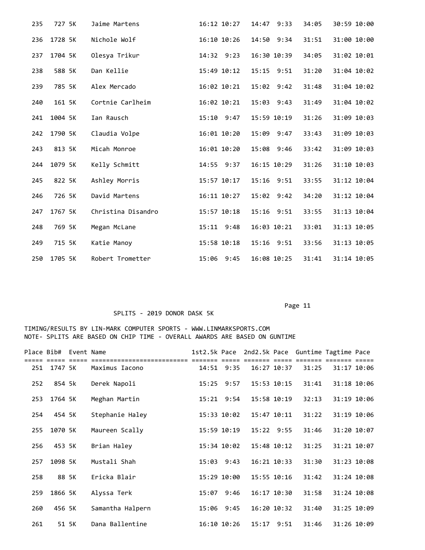| 235 | 727 5K  | Jaime Martens      | 16:12 10:27  | 14:47 9:33     | 34:05 | 30:59 10:00 |
|-----|---------|--------------------|--------------|----------------|-------|-------------|
| 236 | 1728 5K | Nichole Wolf       | 16:10 10:26  | 14:50 9:34     | 31:51 | 31:00 10:00 |
| 237 | 1704 5K | Olesya Trikur      | 14:32 9:23   | 16:30 10:39    | 34:05 | 31:02 10:01 |
| 238 | 588 5K  | Dan Kellie         | 15:49 10:12  | 15:15 9:51     | 31:20 | 31:04 10:02 |
| 239 | 785 5K  | Alex Mercado       | 16:02 10:21  | 15:02 9:42     | 31:48 | 31:04 10:02 |
| 240 | 161 5K  | Cortnie Carlheim   | 16:02 10:21  | 15:03 9:43     | 31:49 | 31:04 10:02 |
| 241 | 1004 5K | Ian Rausch         | $15:10$ 9:47 | 15:59 10:19    | 31:26 | 31:09 10:03 |
| 242 | 1790 5K | Claudia Volpe      | 16:01 10:20  | 15:09 9:47     | 33:43 | 31:09 10:03 |
| 243 | 813 5K  | Micah Monroe       | 16:01 10:20  | 15:08 9:46     | 33:42 | 31:09 10:03 |
| 244 | 1079 5K | Kelly Schmitt      | 14:55 9:37   | 16:15 10:29    | 31:26 | 31:10 10:03 |
| 245 | 822 5K  | Ashley Morris      | 15:57 10:17  | 15:16 9:51     | 33:55 | 31:12 10:04 |
| 246 | 726 5K  | David Martens      | 16:11 10:27  | $15:02$ $9:42$ | 34:20 | 31:12 10:04 |
| 247 | 1767 5K | Christina Disandro | 15:57 10:18  | $15:16$ $9:51$ | 33:55 | 31:13 10:04 |
| 248 | 769 5K  | Megan McLane       | 15:11 9:48   | 16:03 10:21    | 33:01 | 31:13 10:05 |
| 249 | 715 5K  | Katie Manoy        | 15:58 10:18  | 15:16 9:51     | 33:56 | 31:13 10:05 |
| 250 | 1705 5K | Robert Trometter   | 15:06 9:45   | 16:08 10:25    | 31:41 | 31:14 10:05 |

## SPLITS - 2019 DONOR DASK 5K

| Place Bib# |             | Event Name |                  | 1st2.5k Pace |                 | 2nd2.5k Pace    |                 | Guntime Tagtime Pace |             |  |
|------------|-------------|------------|------------------|--------------|-----------------|-----------------|-----------------|----------------------|-------------|--|
|            | 251 1747 5K |            | Maximus Iacono   |              | 14:51 9:35      |                 | $16:27$ $10:37$ | 31:25                | 31:17 10:06 |  |
| 252        | 854 5k      |            | Derek Napoli     |              | $15:25$ 9:57    |                 | 15:53 10:15     | 31:41                | 31:18 10:06 |  |
| 253        | 1764 5K     |            | Meghan Martin    |              | $15:21$ 9:54    | 15:58 10:19     |                 | 32:13                | 31:19 10:06 |  |
| 254        | 454 5K      |            | Stephanie Haley  |              | 15:33 10:02     |                 | 15:47 10:11     | 31:22                | 31:19 10:06 |  |
| 255        | 1070 5K     |            | Maureen Scally   |              | 15:59 10:19     |                 | 15:22 9:55      | 31:46                | 31:20 10:07 |  |
| 256        | 453 5K      |            | Brian Haley      |              | 15:34 10:02     |                 | 15:48 10:12     | 31:25                | 31:21 10:07 |  |
| 257        | 1098 5K     |            | Mustali Shah     |              | $15:03$ $9:43$  | $16:21$ $10:33$ |                 | 31:30                | 31:23 10:08 |  |
| 258        | 88 5K       |            | Ericka Blair     |              | 15:29 10:00     |                 | 15:55 10:16     | 31:42                | 31:24 10:08 |  |
| 259        | 1866 5K     |            | Alyssa Terk      |              | 15:07 9:46      |                 | 16:17 10:30     | 31:58                | 31:24 10:08 |  |
| 260        | 456 5K      |            | Samantha Halpern | 15:06        | 9:45            |                 | 16:20 10:32     | 31:40                | 31:25 10:09 |  |
| 261        | 51 5K       |            | Dana Ballentine  |              | $16:10$ $10:26$ | 15:17           | 9:51            | 31:46                | 31:26 10:09 |  |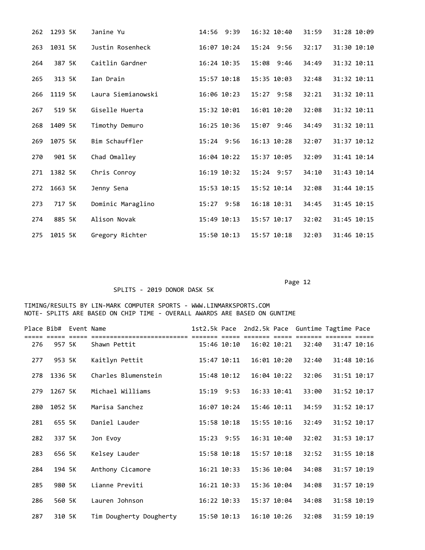| 262 | 1293 5K | Janine Yu          | 14:56 9:39      | 16:32 10:40  | 31:59 | 31:28 10:09 |
|-----|---------|--------------------|-----------------|--------------|-------|-------------|
| 263 | 1031 5K | Justin Rosenheck   | 16:07 10:24     | $15:24$ 9:56 | 32:17 | 31:30 10:10 |
| 264 | 387 5K  | Caitlin Gardner    | 16:24 10:35     | 15:08 9:46   | 34:49 | 31:32 10:11 |
| 265 | 313 5K  | Ian Drain          | $15:57$ $10:18$ | 15:35 10:03  | 32:48 | 31:32 10:11 |
| 266 | 1119 5K | Laura Siemianowski | 16:06 10:23     | $15:27$ 9:58 | 32:21 | 31:32 10:11 |
| 267 | 519 5K  | Giselle Huerta     | 15:32 10:01     | 16:01 10:20  | 32:08 | 31:32 10:11 |
| 268 | 1409 5K | Timothy Demuro     | 16:25 10:36     | 15:07 9:46   | 34:49 | 31:32 10:11 |
| 269 | 1075 5K | Bim Schauffler     | 15:24 9:56      | 16:13 10:28  | 32:07 | 31:37 10:12 |
| 270 | 901 5K  | Chad Omalley       | 16:04 10:22     | 15:37 10:05  | 32:09 | 31:41 10:14 |
| 271 | 1382 5K | Chris Conroy       | 16:19 10:32     | $15:24$ 9:57 | 34:10 | 31:43 10:14 |
| 272 | 1663 5K | Jenny Sena         | 15:53 10:15     | 15:52 10:14  | 32:08 | 31:44 10:15 |
| 273 | 717 5K  | Dominic Maraglino  | 15:27 9:58      | 16:18 10:31  | 34:45 | 31:45 10:15 |
| 274 | 885 5K  | Alison Novak       | 15:49 10:13     | 15:57 10:17  | 32:02 | 31:45 10:15 |
| 275 | 1015 5K | Gregory Richter    | 15:50 10:13     | 15:57 10:18  | 32:03 | 31:46 10:15 |

### SPLITS - 2019 DONOR DASK 5K

|     | Place Bib# Event Name |                                        |                 |                 |                 |       | 1st2.5k Pace 2nd2.5k Pace Guntime Tagtime Pace |  |
|-----|-----------------------|----------------------------------------|-----------------|-----------------|-----------------|-------|------------------------------------------------|--|
| 276 | 957 5K                | ,,,,,,,,,,,,,,,,,,,,,,<br>Shawn Pettit | 15:46 10:10     | 16:02 10:21     |                 | 32:40 | 31:47 10:16                                    |  |
| 277 | 953 5K                | Kaitlyn Pettit                         | 15:47 10:11     |                 | 16:01 10:20     | 32:40 | 31:48 10:16                                    |  |
| 278 | 1336 5K               | Charles Blumenstein                    | 15:48 10:12     |                 | $16:04$ $10:22$ | 32:06 | 31:51 10:17                                    |  |
| 279 | 1267 5K               | Michael Williams                       | 15:19 9:53      |                 | $16:33$ $10:41$ | 33:00 | 31:52 10:17                                    |  |
| 280 | 1052 5K               | Marisa Sanchez                         | 16:07 10:24     |                 | 15:46 10:11     | 34:59 | 31:52 10:17                                    |  |
| 281 | 655 5K                | Daniel Lauder                          | 15:58 10:18     |                 | 15:55 10:16     | 32:49 | 31:52 10:17                                    |  |
| 282 | 337 5K                | Jon Evoy                               | $15:23$ 9:55    |                 | 16:31 10:40     | 32:02 | 31:53 10:17                                    |  |
| 283 | 656 5K                | Kelsey Lauder                          | 15:58 10:18     | $15:57$ $10:18$ |                 | 32:52 | 31:55 10:18                                    |  |
| 284 | 194 5K                | Anthony Cicamore                       | 16:21 10:33     | 15:36 10:04     |                 | 34:08 | 31:57 10:19                                    |  |
| 285 | 980 5K                | Lianne Previti                         | $16:21$ $10:33$ |                 | 15:36 10:04     | 34:08 | 31:57 10:19                                    |  |
| 286 | 560 5K                | Lauren Johnson                         | $16:22$ $10:33$ |                 | 15:37 10:04     | 34:08 | 31:58 10:19                                    |  |
| 287 | 310 5K                | Tim Dougherty Dougherty                | 15:50 10:13     |                 | $16:10$ $10:26$ | 32:08 | 31:59 10:19                                    |  |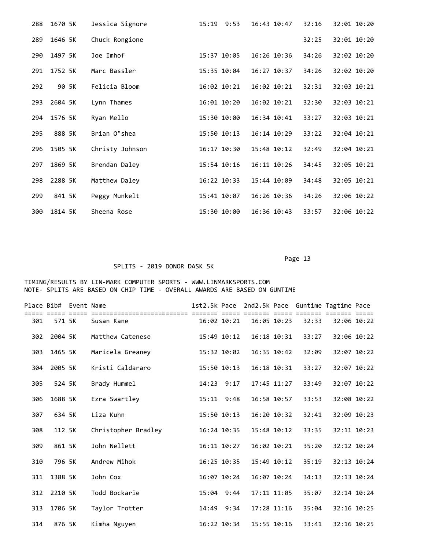| 288 | 1670 5K | Jessica Signore | 15:19<br>9:53 | 16:43 10:47 | 32:16 | 32:01 10:20 |
|-----|---------|-----------------|---------------|-------------|-------|-------------|
| 289 | 1646 5K | Chuck Rongione  |               |             | 32:25 | 32:01 10:20 |
| 290 | 1497 5K | Joe Imhof       | 15:37 10:05   | 16:26 10:36 | 34:26 | 32:02 10:20 |
| 291 | 1752 5K | Marc Bassler    | 15:35 10:04   | 16:27 10:37 | 34:26 | 32:02 10:20 |
| 292 | 90 5K   | Felicia Bloom   | 16:02 10:21   | 16:02 10:21 | 32:31 | 32:03 10:21 |
| 293 | 2604 5K | Lynn Thames     | 16:01 10:20   | 16:02 10:21 | 32:30 | 32:03 10:21 |
| 294 | 1576 5K | Ryan Mello      | 15:30 10:00   | 16:34 10:41 | 33:27 | 32:03 10:21 |
| 295 | 888 5K  | Brian O"shea    | 15:50 10:13   | 16:14 10:29 | 33:22 | 32:04 10:21 |
| 296 | 1505 5K | Christy Johnson | 16:17 10:30   | 15:48 10:12 | 32:49 | 32:04 10:21 |
| 297 | 1869 5K | Brendan Daley   | 15:54 10:16   | 16:11 10:26 | 34:45 | 32:05 10:21 |
| 298 | 2288 5K | Matthew Daley   | 16:22 10:33   | 15:44 10:09 | 34:48 | 32:05 10:21 |
| 299 | 841 5K  | Peggy Munkelt   | 15:41 10:07   | 16:26 10:36 | 34:26 | 32:06 10:22 |
| 300 | 1814 5K | Sheena Rose     | 15:30 10:00   | 16:36 10:43 | 33:57 | 32:06 10:22 |

# SPLITS - 2019 DONOR DASK 5K

| Place Bib# |         | Event Name |                     |       |                        |             |             | 1st2.5k Pace 2nd2.5k Pace Guntime Tagtime Pace |             |  |
|------------|---------|------------|---------------------|-------|------------------------|-------------|-------------|------------------------------------------------|-------------|--|
| 301        | 571 5K  |            | Susan Kane          |       | ==== ==<br>16:02 10:21 | 16:05 10:23 |             | :222 2222222 2222222 22222<br>32:33            | 32:06 10:22 |  |
| 302        | 2004 5K |            | Matthew Catenese    |       | 15:49 10:12            | 16:18 10:31 |             | 33:27                                          | 32:06 10:22 |  |
| 303        | 1465 5K |            | Maricela Greaney    |       | 15:32 10:02            | 16:35 10:42 |             | 32:09                                          | 32:07 10:22 |  |
| 304        | 2005 5K |            | Kristi Caldararo    |       | 15:50 10:13            | 16:18 10:31 |             | 33:27                                          | 32:07 10:22 |  |
| 305        | 524 5K  |            | Brady Hummel        |       | 14:23 9:17             | 17:45 11:27 |             | 33:49                                          | 32:07 10:22 |  |
| 306        | 1688 5K |            | Ezra Swartley       |       | $15:11$ $9:48$         | 16:58 10:57 |             | 33:53                                          | 32:08 10:22 |  |
| 307        | 634 5K  |            | Liza Kuhn           |       | 15:50 10:13            | 16:20 10:32 |             | 32:41                                          | 32:09 10:23 |  |
| 308        | 112 5K  |            | Christopher Bradley |       | 16:24 10:35            | 15:48 10:12 |             | 33:35                                          | 32:11 10:23 |  |
| 309        | 861 5K  |            | John Nellett        |       | $16:11$ $10:27$        | 16:02 10:21 |             | 35:20                                          | 32:12 10:24 |  |
| 310        | 796 5K  |            | Andrew Mihok        |       | 16:25 10:35            | 15:49 10:12 |             | 35:19                                          | 32:13 10:24 |  |
| 311        | 1388 5K |            | John Cox            |       | 16:07 10:24            |             | 16:07 10:24 | 34:13                                          | 32:13 10:24 |  |
| 312        | 2210 5K |            | Todd Bockarie       |       | $15:04$ 9:44           | 17:11 11:05 |             | 35:07                                          | 32:14 10:24 |  |
| 313        | 1706 5K |            | Taylor Trotter      | 14:49 | 9:34                   | 17:28 11:16 |             | 35:04                                          | 32:16 10:25 |  |
| 314        | 876 5K  |            | Kimha Nguyen        |       | 16:22 10:34            | 15:55 10:16 |             | 33:41                                          | 32:16 10:25 |  |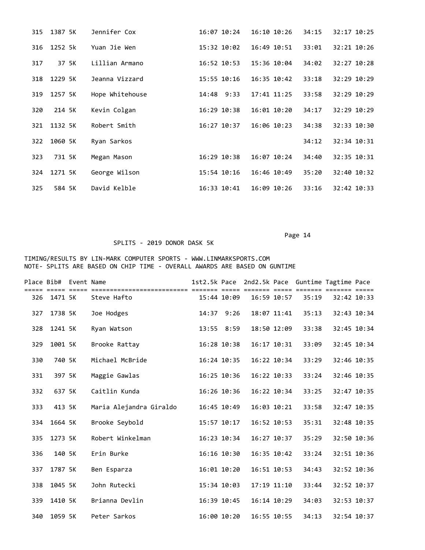| 315 | 1387 5K | Jennifer Cox    | 16:07 10:24     | $16:10$ $10:26$ | 34:15 | 32:17 10:25 |
|-----|---------|-----------------|-----------------|-----------------|-------|-------------|
| 316 | 1252 5k | Yuan Jie Wen    | 15:32 10:02     | 16:49 10:51     | 33:01 | 32:21 10:26 |
| 317 | 37 5K   | Lillian Armano  | 16:52 10:53     | 15:36 10:04     | 34:02 | 32:27 10:28 |
| 318 | 1229 5K | Jeanna Vizzard  | 15:55 10:16     | $16:35$ $10:42$ | 33:18 | 32:29 10:29 |
| 319 | 1257 5K | Hope Whitehouse | $14:48$ 9:33    | 17:41 11:25     | 33:58 | 32:29 10:29 |
| 320 | 214 5K  | Kevin Colgan    | $16:29$ $10:38$ | 16:01 10:20     | 34:17 | 32:29 10:29 |
| 321 | 1132 5K | Robert Smith    | 16:27 10:37     | 16:06 10:23     | 34:38 | 32:33 10:30 |
| 322 | 1060 5K | Ryan Sarkos     |                 |                 | 34:12 | 32:34 10:31 |
| 323 | 731 5K  | Megan Mason     | 16:29 10:38     | 16:07 10:24     | 34:40 | 32:35 10:31 |
| 324 | 1271 5K | George Wilson   | 15:54 10:16     | 16:46 10:49     | 35:20 | 32:40 10:32 |
| 325 | 584 5K  | David Kelble    | $16:33$ $10:41$ | $16:09$ $10:26$ | 33:16 | 32:42 10:33 |

### SPLITS - 2019 DONOR DASK 5K

| Place Bib# |         | Event Name |                         | 1st2.5k Pace |             | 2nd2.5k Pace |             | Guntime Tagtime Pace |             |             |
|------------|---------|------------|-------------------------|--------------|-------------|--------------|-------------|----------------------|-------------|-------------|
| 326        | 1471 5K |            | Steve Hafto             |              | 15:44 10:09 |              | 16:59 10:57 | 35:19                | 32:42 10:33 |             |
| 327        | 1738 5K |            | Joe Hodges              |              | 14:37 9:26  |              | 18:07 11:41 | 35:13                |             | 32:43 10:34 |
| 328        | 1241 5K |            | Ryan Watson             |              | 13:55 8:59  |              | 18:50 12:09 | 33:38                | 32:45 10:34 |             |
| 329        | 1001 5K |            | Brooke Rattay           |              | 16:28 10:38 |              | 16:17 10:31 | 33:09                | 32:45 10:34 |             |
| 330        | 740 5K  |            | Michael McBride         |              | 16:24 10:35 |              | 16:22 10:34 | 33:29                | 32:46 10:35 |             |
| 331        | 397 5K  |            | Maggie Gawlas           |              | 16:25 10:36 |              | 16:22 10:33 | 33:24                | 32:46 10:35 |             |
| 332        | 637 5K  |            | Caitlin Kunda           |              | 16:26 10:36 |              | 16:22 10:34 | 33:25                | 32:47 10:35 |             |
| 333        | 413 5K  |            | Maria Alejandra Giraldo | 16:45 10:49  |             |              | 16:03 10:21 | 33:58                | 32:47 10:35 |             |
| 334        | 1664 5K |            | Brooke Seybold          |              | 15:57 10:17 | 16:52 10:53  |             | 35:31                | 32:48 10:35 |             |
| 335        | 1273 5K |            | Robert Winkelman        |              | 16:23 10:34 |              | 16:27 10:37 | 35:29                | 32:50 10:36 |             |
| 336        | 140 5K  |            | Erin Burke              |              | 16:16 10:30 |              | 16:35 10:42 | 33:24                | 32:51 10:36 |             |
| 337        | 1787 5K |            | Ben Esparza             |              | 16:01 10:20 |              | 16:51 10:53 | 34:43                | 32:52 10:36 |             |
| 338        | 1045 5K |            | John Rutecki            | 15:34 10:03  |             |              | 17:19 11:10 | 33:44                | 32:52 10:37 |             |
| 339        | 1410 5K |            | Brianna Devlin          |              | 16:39 10:45 |              | 16:14 10:29 | 34:03                | 32:53 10:37 |             |
| 340        | 1059 5K |            | Peter Sarkos            |              | 16:00 10:20 | 16:55 10:55  |             | 34:13                | 32:54 10:37 |             |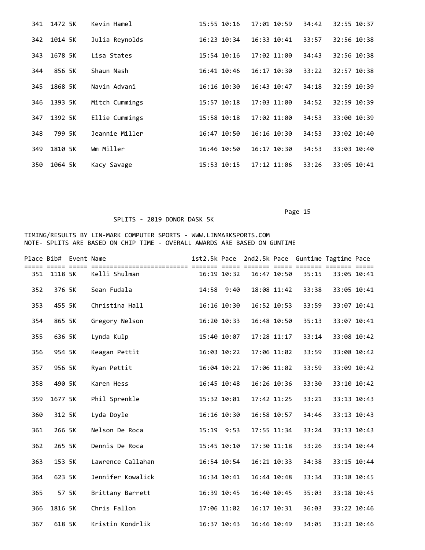| 341 | 1472 5K | Kevin Hamel    | 15:55 10:16     | 17:01 10:59     | 34:42 | 32:55 10:37 |
|-----|---------|----------------|-----------------|-----------------|-------|-------------|
| 342 | 1014 5K | Julia Reynolds | $16:23$ $10:34$ | $16:33$ $10:41$ | 33:57 | 32:56 10:38 |
| 343 | 1678 5K | Lisa States    | $15:54$ $10:16$ | 17:02 11:00     | 34:43 | 32:56 10:38 |
| 344 | 856 5K  | Shaun Nash     | 16:41 10:46     | $16:17$ $10:30$ | 33:22 | 32:57 10:38 |
| 345 | 1868 5K | Navin Advani   | $16:16$ $10:30$ | 16:43 10:47     | 34:18 | 32:59 10:39 |
| 346 | 1393 5K | Mitch Cummings | $15:57$ $10:18$ | 17:03 11:00     | 34:52 | 32:59 10:39 |
| 347 | 1392 5K | Ellie Cummings | $15:58$ $10:18$ | 17:02 11:00     | 34:53 | 33:00 10:39 |
| 348 | 799 5K  | Jeannie Miller | 16:47 10:50     | $16:16$ $10:30$ | 34:53 | 33:02 10:40 |
| 349 | 1810 5K | Wm Miller      | 16:46 10:50     | $16:17$ $10:30$ | 34:53 | 33:03 10:40 |
| 350 | 1064 5k | Kacy Savage    | 15:53 10:15     | 17:12 11:06     | 33:26 | 33:05 10:41 |

## SPLITS - 2019 DONOR DASK 5K

|     | Place Bib# Event Name |                   |                 |                 | 1st2.5k Pace 2nd2.5k Pace Guntime Tagtime Pace | === ======= |             |
|-----|-----------------------|-------------------|-----------------|-----------------|------------------------------------------------|-------------|-------------|
| 351 | 1118 5K               | Kelli Shulman     | $16:19$ $10:32$ | $16:47$ $10:50$ | 35:15                                          |             | 33:05 10:41 |
| 352 | 376 5K                | Sean Fudala       | 14:58 9:40      | 18:08 11:42     | 33:38                                          |             | 33:05 10:41 |
| 353 | 455 5K                | Christina Hall    | 16:16 10:30     | 16:52 10:53     | 33:59                                          |             | 33:07 10:41 |
| 354 | 865 5K                | Gregory Nelson    | 16:20 10:33     | 16:48 10:50     | 35:13                                          |             | 33:07 10:41 |
| 355 | 636 5K                | Lynda Kulp        | 15:40 10:07     | 17:28 11:17     | 33:14                                          | 33:08 10:42 |             |
| 356 | 954 5K                | Keagan Pettit     | 16:03 10:22     | 17:06 11:02     | 33:59                                          |             | 33:08 10:42 |
| 357 | 956 5K                | Ryan Pettit       | 16:04 10:22     | 17:06 11:02     | 33:59                                          |             | 33:09 10:42 |
| 358 | 490 5K                | Karen Hess        | 16:45 10:48     | 16:26 10:36     | 33:30                                          |             | 33:10 10:42 |
| 359 | 1677 5K               | Phil Sprenkle     | 15:32 10:01     | 17:42 11:25     | 33:21                                          | 33:13 10:43 |             |
| 360 | 312 5K                | Lyda Doyle        | 16:16 10:30     | 16:58 10:57     | 34:46                                          | 33:13 10:43 |             |
| 361 | 266 5K                | Nelson De Roca    | $15:19$ $9:53$  | 17:55 11:34     | 33:24                                          | 33:13 10:43 |             |
| 362 | 265 5K                | Dennis De Roca    | 15:45 10:10     | 17:30 11:18     | 33:26                                          |             | 33:14 10:44 |
| 363 | 153 5K                | Lawrence Callahan | 16:54 10:54     | 16:21 10:33     | 34:38                                          |             | 33:15 10:44 |
| 364 | 623 5K                | Jennifer Kowalick | 16:34 10:41     | 16:44 10:48     | 33:34                                          |             | 33:18 10:45 |
| 365 | 57 5K                 | Brittany Barrett  | 16:39 10:45     | 16:40 10:45     | 35:03                                          | 33:18 10:45 |             |
| 366 | 1816 5K               | Chris Fallon      | 17:06 11:02     | 16:17 10:31     | 36:03                                          |             | 33:22 10:46 |
| 367 | 618 5K                | Kristin Kondrlik  | 16:37 10:43     | 16:46 10:49     | 34:05                                          |             | 33:23 10:46 |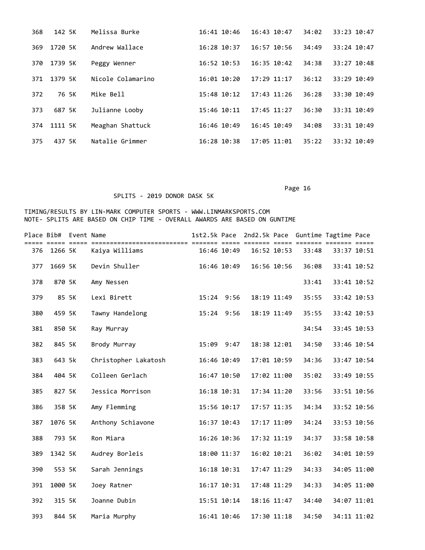| 368 | 142 5K  | Melissa Burke     | 16:41 10:46     | $16:43$ $10:47$ | 34:02 | 33:23 10:47 |
|-----|---------|-------------------|-----------------|-----------------|-------|-------------|
| 369 | 1720 5K | Andrew Wallace    | $16:28$ $10:37$ | $16:57$ $10:56$ | 34:49 | 33:24 10:47 |
| 370 | 1739 5K | Peggy Wenner      | $16:52$ $10:53$ | $16:35$ $10:42$ | 34:38 | 33:27 10:48 |
| 371 | 1379 5K | Nicole Colamarino | $16:01$ $10:20$ | $17:29$ $11:17$ | 36:12 | 33:29 10:49 |
| 372 | 76 5K   | Mike Bell         | $15:48$ $10:12$ | $17:43$ $11:26$ | 36:28 | 33:30 10:49 |
| 373 | 687 5K  | Julianne Looby    | 15:46 10:11     | $17:45$ $11:27$ | 36:30 | 33:31 10:49 |
| 374 | 1111 5K | Meaghan Shattuck  | $16:46$ $10:49$ | 16:45 10:49     | 34:08 | 33:31 10:49 |
| 375 | 437 5K  | Natalie Grimmer   | $16:28$ $10:38$ | 17:05 11:01     | 35:22 | 33:32 10:49 |

### SPLITS - 2019 DONOR DASK 5K

|     | Place Bib# Event Name |                      | 1st2.5k Pace |             |                 |       | 2nd2.5k Pace Guntime Tagtime Pace |             |
|-----|-----------------------|----------------------|--------------|-------------|-----------------|-------|-----------------------------------|-------------|
| 376 | 1266 5K               | Kaiya Williams       |              | 16:46 10:49 | $16:52$ $10:53$ | 33:48 | 33:37 10:51                       |             |
| 377 | 1669 5K               | Devin Shuller        |              | 16:46 10:49 | 16:56 10:56     | 36:08 | 33:41 10:52                       |             |
| 378 | 870 5K                | Amy Nessen           |              |             |                 | 33:41 | 33:41 10:52                       |             |
| 379 | 85 5K                 | Lexi Birett          |              | 15:24 9:56  | 18:19 11:49     | 35:55 | 33:42 10:53                       |             |
| 380 | 459 5K                | Tawny Handelong      |              | 15:24 9:56  | 18:19 11:49     | 35:55 | 33:42 10:53                       |             |
| 381 | 850 5K                | Ray Murray           |              |             |                 | 34:54 | 33:45 10:53                       |             |
| 382 | 845 5K                | Brody Murray         |              | 15:09 9:47  | 18:38 12:01     | 34:50 | 33:46 10:54                       |             |
| 383 | 643 5k                | Christopher Lakatosh |              | 16:46 10:49 | 17:01 10:59     | 34:36 | 33:47 10:54                       |             |
| 384 | 404 5K                | Colleen Gerlach      |              | 16:47 10:50 | 17:02 11:00     | 35:02 | 33:49 10:55                       |             |
| 385 | 827 5K                | Jessica Morrison     |              | 16:18 10:31 | 17:34 11:20     | 33:56 | 33:51 10:56                       |             |
| 386 | 358 5K                | Amy Flemming         |              | 15:56 10:17 | 17:57 11:35     | 34:34 | 33:52 10:56                       |             |
| 387 | 1076 5K               | Anthony Schiavone    |              | 16:37 10:43 | 17:17 11:09     | 34:24 | 33:53 10:56                       |             |
| 388 | 793 5K                | Ron Miara            |              | 16:26 10:36 | 17:32 11:19     | 34:37 | 33:58 10:58                       |             |
| 389 | 1342 5K               | Audrey Borleis       |              | 18:00 11:37 | 16:02 10:21     | 36:02 | 34:01 10:59                       |             |
| 390 | 553 5K                | Sarah Jennings       |              | 16:18 10:31 | 17:47 11:29     | 34:33 | 34:05 11:00                       |             |
| 391 | 1000 5K               | Joey Ratner          |              | 16:17 10:31 | 17:48 11:29     | 34:33 | 34:05 11:00                       |             |
| 392 | 315 5K                | Joanne Dubin         |              | 15:51 10:14 | 18:16 11:47     | 34:40 | 34:07 11:01                       |             |
| 393 | 844 5K                | Maria Murphy         |              | 16:41 10:46 | 17:30 11:18     | 34:50 |                                   | 34:11 11:02 |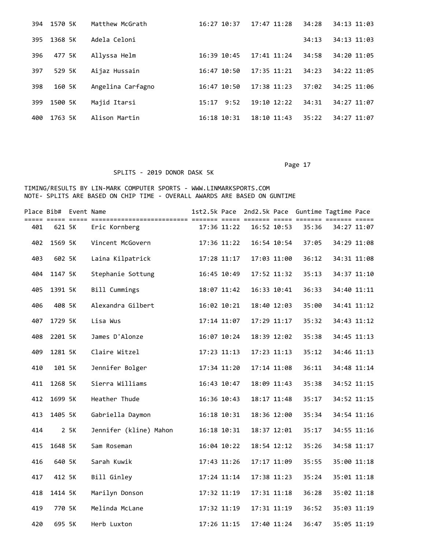| 394 | 1570 5K | Matthew McGrath   | $16:27$ $10:37$ | $17:47$ $11:28$ | 34:28 | 34:13 11:03 |
|-----|---------|-------------------|-----------------|-----------------|-------|-------------|
| 395 | 1368 5K | Adela Celoni      |                 |                 | 34:13 | 34:13 11:03 |
| 396 | 477 5K  | Allyssa Helm      | $16:39$ $10:45$ | $17:41$ $11:24$ | 34:58 | 34:20 11:05 |
| 397 | 529 5K  | Aijaz Hussain     | 16:47 10:50     | $17:35$ $11:21$ | 34:23 | 34:22 11:05 |
| 398 | 160 5K  | Angelina Carfagno | 16:47 10:50     | 17:38 11:23     | 37:02 | 34:25 11:06 |
| 399 | 1500 5K | Majid Itarsi      | 9:52<br>15:17   | $19:10$ $12:22$ | 34:31 | 34:27 11:07 |
| 400 | 1763 5K | Alison Martin     | $16:18$ $10:31$ | $18:10$ $11:43$ | 35:22 | 34:27 11:07 |

# SPLITS - 2019 DONOR DASK 5K

|     | Place Bib# Event Name |      |                        |             |             |       | 1st2.5k Pace 2nd2.5k Pace Guntime Tagtime Pace |  |
|-----|-----------------------|------|------------------------|-------------|-------------|-------|------------------------------------------------|--|
| 401 | 621 5K                |      | Eric Kornberg          | 17:36 11:22 | 16:52 10:53 | 35:36 | 34:27 11:07                                    |  |
| 402 | 1569 5K               |      | Vincent McGovern       | 17:36 11:22 | 16:54 10:54 | 37:05 | 34:29 11:08                                    |  |
| 403 | 602 5K                |      | Laina Kilpatrick       | 17:28 11:17 | 17:03 11:00 | 36:12 | 34:31 11:08                                    |  |
| 404 | 1147 5K               |      | Stephanie Sottung      | 16:45 10:49 | 17:52 11:32 | 35:13 | 34:37 11:10                                    |  |
| 405 | 1391 5K               |      | Bill Cummings          | 18:07 11:42 | 16:33 10:41 | 36:33 | 34:40 11:11                                    |  |
| 406 | 408 5K                |      | Alexandra Gilbert      | 16:02 10:21 | 18:40 12:03 | 35:00 | 34:41 11:12                                    |  |
| 407 | 1729 5K               |      | Lisa Wus               | 17:14 11:07 | 17:29 11:17 | 35:32 | 34:43 11:12                                    |  |
| 408 | 2201 5K               |      | James D'Alonze         | 16:07 10:24 | 18:39 12:02 | 35:38 | 34:45 11:13                                    |  |
| 409 | 1281 5K               |      | Claire Witzel          | 17:23 11:13 | 17:23 11:13 | 35:12 | 34:46 11:13                                    |  |
| 410 | 101 5K                |      | Jennifer Bolger        | 17:34 11:20 | 17:14 11:08 | 36:11 | 34:48 11:14                                    |  |
| 411 | 1268 5K               |      | Sierra Williams        | 16:43 10:47 | 18:09 11:43 | 35:38 | 34:52 11:15                                    |  |
| 412 | 1699 5K               |      | Heather Thude          | 16:36 10:43 | 18:17 11:48 | 35:17 | 34:52 11:15                                    |  |
| 413 | 1405 5K               |      | Gabriella Daymon       | 16:18 10:31 | 18:36 12:00 | 35:34 | 34:54 11:16                                    |  |
| 414 |                       | 2 5K | Jennifer (kline) Mahon | 16:18 10:31 | 18:37 12:01 | 35:17 | 34:55 11:16                                    |  |
| 415 | 1648 5K               |      | Sam Roseman            | 16:04 10:22 | 18:54 12:12 | 35:26 | 34:58 11:17                                    |  |
| 416 | 640 5K                |      | Sarah Kuwik            | 17:43 11:26 | 17:17 11:09 | 35:55 | 35:00 11:18                                    |  |
| 417 | 412 5K                |      | Bill Ginley            | 17:24 11:14 | 17:38 11:23 | 35:24 | 35:01 11:18                                    |  |
| 418 | 1414 5K               |      | Marilyn Donson         | 17:32 11:19 | 17:31 11:18 | 36:28 | 35:02 11:18                                    |  |
| 419 | 770 5K                |      | Melinda McLane         | 17:32 11:19 | 17:31 11:19 | 36:52 | 35:03 11:19                                    |  |
| 420 | 695 5K                |      | Herb Luxton            | 17:26 11:15 | 17:40 11:24 | 36:47 | 35:05 11:19                                    |  |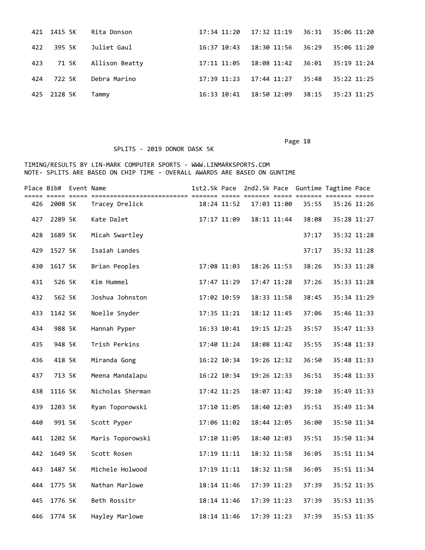|     | 421 1415 5K | Rita Donson    |                 | 17:34 11:20 17:32 11:19 | 36:31 | 35:06 11:20 |
|-----|-------------|----------------|-----------------|-------------------------|-------|-------------|
| 422 | 395 5K      | Juliet Gaul    | 16:37 10:43     | $18:30$ $11:56$ $36:29$ |       | 35:06 11:20 |
| 423 | 71 5K       | Allison Beatty | 17:11 11:05     | 18:08 11:42             | 36:01 | 35:19 11:24 |
| 424 | 722 5K      | Debra Marino   | $17:39$ $11:23$ | 17:44 11:27             | 35:48 | 35:22 11:25 |
|     | 425 2128 5K | Tammy          | 16:33 10:41     | 18:50 12:09             | 38:15 | 35:23 11:25 |

### SPLITS - 2019 DONOR DASK 5K

|     | Place Bib# Event Name |                  |             |             |             |       | 1st2.5k Pace 2nd2.5k Pace Guntime Tagtime Pace |  |
|-----|-----------------------|------------------|-------------|-------------|-------------|-------|------------------------------------------------|--|
| 426 | 2008 5K               | Tracey Drelick   | 18:24 11:52 |             | 17:03 11:00 | 35:55 | 35:26 11:26                                    |  |
| 427 | 2289 5K               | Kate Dalet       | 17:17 11:09 |             | 18:11 11:44 | 38:08 | 35:28 11:27                                    |  |
| 428 | 1689 5K               | Micah Swartley   |             |             |             | 37:17 | 35:32 11:28                                    |  |
| 429 | 1527 5K               | Isaiah Landes    |             |             |             | 37:17 | 35:32 11:28                                    |  |
| 430 | 1617 5K               | Brian Peoples    | 17:08 11:03 |             | 18:26 11:53 | 38:26 | 35:33 11:28                                    |  |
| 431 | 526 5K                | Kim Hummel       | 17:47 11:29 |             | 17:47 11:28 | 37:26 | 35:33 11:28                                    |  |
| 432 | 562 5K                | Joshua Johnston  | 17:02 10:59 |             | 18:33 11:58 | 38:45 | 35:34 11:29                                    |  |
| 433 | 1142 5K               | Noelle Snyder    | 17:35 11:21 |             | 18:12 11:45 | 37:06 | 35:46 11:33                                    |  |
| 434 | 988 5K                | Hannah Pyper     | 16:33 10:41 |             | 19:15 12:25 | 35:57 | 35:47 11:33                                    |  |
| 435 | 948 5K                | Trish Perkins    | 17:40 11:24 |             | 18:08 11:42 | 35:55 | 35:48 11:33                                    |  |
| 436 | 418 5K                | Miranda Gong     | 16:22 10:34 |             | 19:26 12:32 | 36:50 | 35:48 11:33                                    |  |
| 437 | 713 5K                | Meena Mandalapu  | 16:22 10:34 |             | 19:26 12:33 | 36:51 | 35:48 11:33                                    |  |
| 438 | 1116 5K               | Nicholas Sherman | 17:42 11:25 |             | 18:07 11:42 | 39:10 | 35:49 11:33                                    |  |
| 439 | 1203 5K               | Ryan Toporowski  | 17:10 11:05 |             | 18:40 12:03 | 35:51 | 35:49 11:34                                    |  |
| 440 | 991 5K                | Scott Pyper      | 17:06 11:02 |             | 18:44 12:05 | 36:00 | 35:50 11:34                                    |  |
| 441 | 1202 5K               | Maris Toporowski | 17:10 11:05 |             | 18:40 12:03 | 35:51 | 35:50 11:34                                    |  |
| 442 | 1649 5K               | Scott Rosen      | 17:19 11:11 |             | 18:32 11:58 | 36:05 | 35:51 11:34                                    |  |
| 443 | 1487 5K               | Michele Holwood  | 17:19 11:11 |             | 18:32 11:58 | 36:05 | 35:51 11:34                                    |  |
| 444 | 1775 5K               | Nathan Marlowe   | 18:14 11:46 |             | 17:39 11:23 | 37:39 | 35:52 11:35                                    |  |
| 445 | 1776 5K               | Beth Rossitr     | 18:14 11:46 |             | 17:39 11:23 | 37:39 | 35:53 11:35                                    |  |
| 446 | 1774 5K               | Hayley Marlowe   | 18:14 11:46 | 17:39 11:23 |             | 37:39 | 35:53 11:35                                    |  |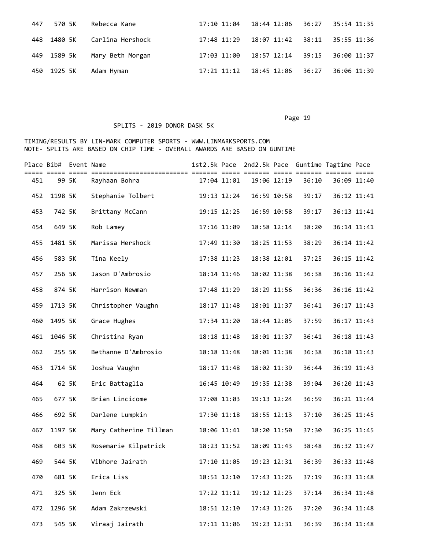|             | 447 570 5K Rebecca Kane      | 17:10 11:04  18:44  12:06  36:27  35:54  11:35 |             |
|-------------|------------------------------|------------------------------------------------|-------------|
|             | 448 1480 5K Carlina Hershock | 17:48 11:29  18:07  11:42  38:11  35:55  11:36 |             |
|             | 449 1589 5k Mary Beth Morgan | 17:03 11:00  18:57 12:14  39:15  36:00  11:37  |             |
| 450 1925 5K | Adam Hyman                   | 17:21 11:12 18:45 12:06 36:27                  | 36:06 11:39 |

# SPLITS - 2019 DONOR DASK 5K

|     | Place Bib# Event Name |       |                        |             |             |             | 1st2.5k Pace 2nd2.5k Pace Guntime Tagtime Pace |             |             |
|-----|-----------------------|-------|------------------------|-------------|-------------|-------------|------------------------------------------------|-------------|-------------|
| 451 |                       | 99 5K | Rayhaan Bohra          | 17:04 11:01 | 19:06 12:19 |             | 36:10                                          | 36:09 11:40 |             |
| 452 | 1198 5K               |       | Stephanie Tolbert      | 19:13 12:24 | 16:59 10:58 |             | 39:17                                          | 36:12 11:41 |             |
| 453 | 742 5K                |       | Brittany McCann        | 19:15 12:25 | 16:59 10:58 |             | 39:17                                          | 36:13 11:41 |             |
| 454 | 649 5K                |       | Rob Lamey              | 17:16 11:09 |             | 18:58 12:14 | 38:20                                          |             | 36:14 11:41 |
| 455 | 1481 5K               |       | Marissa Hershock       | 17:49 11:30 |             | 18:25 11:53 | 38:29                                          | 36:14 11:42 |             |
| 456 | 583 5K                |       | Tina Keely             | 17:38 11:23 | 18:38 12:01 |             | 37:25                                          | 36:15 11:42 |             |
| 457 | 256 5K                |       | Jason D'Ambrosio       | 18:14 11:46 |             | 18:02 11:38 | 36:38                                          | 36:16 11:42 |             |
| 458 | 874 5K                |       | Harrison Newman        | 17:48 11:29 |             | 18:29 11:56 | 36:36                                          |             | 36:16 11:42 |
| 459 | 1713 5K               |       | Christopher Vaughn     | 18:17 11:48 |             | 18:01 11:37 | 36:41                                          | 36:17 11:43 |             |
| 460 | 1495 5K               |       | Grace Hughes           | 17:34 11:20 | 18:44 12:05 |             | 37:59                                          | 36:17 11:43 |             |
| 461 | 1046 5K               |       | Christina Ryan         | 18:18 11:48 |             | 18:01 11:37 | 36:41                                          | 36:18 11:43 |             |
| 462 | 255 5K                |       | Bethanne D'Ambrosio    | 18:18 11:48 |             | 18:01 11:38 | 36:38                                          | 36:18 11:43 |             |
| 463 | 1714 5K               |       | Joshua Vaughn          | 18:17 11:48 |             | 18:02 11:39 | 36:44                                          | 36:19 11:43 |             |
| 464 |                       | 62 5K | Eric Battaglia         | 16:45 10:49 |             | 19:35 12:38 | 39:04                                          | 36:20 11:43 |             |
| 465 | 677 5K                |       | Brian Lincicome        | 17:08 11:03 |             | 19:13 12:24 | 36:59                                          | 36:21 11:44 |             |
| 466 | 692 5K                |       | Darlene Lumpkin        | 17:30 11:18 | 18:55 12:13 |             | 37:10                                          | 36:25 11:45 |             |
| 467 | 1197 5K               |       | Mary Catherine Tillman | 18:06 11:41 |             | 18:20 11:50 | 37:30                                          |             | 36:25 11:45 |
| 468 | 603 5K                |       | Rosemarie Kilpatrick   | 18:23 11:52 | 18:09 11:43 |             | 38:48                                          |             | 36:32 11:47 |
| 469 | 544 5K                |       | Vibhore Jairath        | 17:10 11:05 | 19:23 12:31 |             | 36:39                                          | 36:33 11:48 |             |
| 470 | 681 5K                |       | Erica Liss             | 18:51 12:10 |             | 17:43 11:26 | 37:19                                          | 36:33 11:48 |             |
| 471 | 325 5K                |       | Jenn Eck               | 17:22 11:12 |             | 19:12 12:23 | 37:14                                          |             | 36:34 11:48 |
| 472 | 1296 5K               |       | Adam Zakrzewski        | 18:51 12:10 | 17:43 11:26 |             | 37:20                                          |             | 36:34 11:48 |
| 473 | 545 5K                |       | Viraaj Jairath         | 17:11 11:06 | 19:23 12:31 |             | 36:39                                          |             | 36:34 11:48 |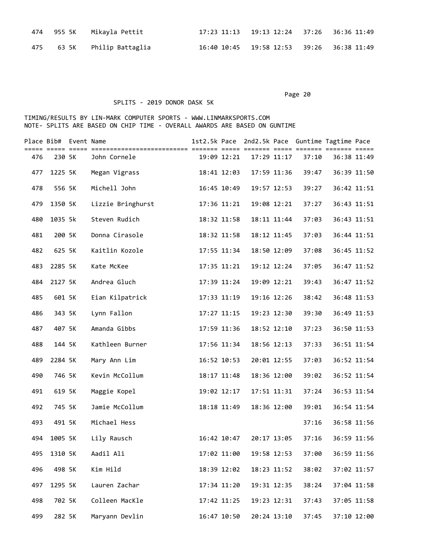|  | 474    955 5K     Mikayla Pettit | 17:23 11:13 19:13 12:24 37:26 36:36 11:49      |  |
|--|----------------------------------|------------------------------------------------|--|
|  | 475 63 5K Philip Battaglia       | 16:40 10:45  19:58  12:53  39:26  36:38  11:49 |  |

# SPLITS - 2019 DONOR DASK 5K

|     | Place Bib# Event Name |                   |             |             |       | 1st2.5k Pace 2nd2.5k Pace Guntime Tagtime Pace |             |
|-----|-----------------------|-------------------|-------------|-------------|-------|------------------------------------------------|-------------|
| 476 | 230 5K                | John Cornele      | 19:09 12:21 | 17:29 11:17 | 37:10 | 36:38 11:49                                    |             |
| 477 | 1225 5K               | Megan Vigrass     | 18:41 12:03 | 17:59 11:36 | 39:47 |                                                | 36:39 11:50 |
| 478 | 556 5K                | Michell John      | 16:45 10:49 | 19:57 12:53 | 39:27 |                                                | 36:42 11:51 |
| 479 | 1350 5K               | Lizzie Bringhurst | 17:36 11:21 | 19:08 12:21 | 37:27 |                                                | 36:43 11:51 |
| 480 | 1035 5k               | Steven Rudich     | 18:32 11:58 | 18:11 11:44 | 37:03 |                                                | 36:43 11:51 |
| 481 | 200 5K                | Donna Cirasole    | 18:32 11:58 | 18:12 11:45 | 37:03 |                                                | 36:44 11:51 |
| 482 | 625 5K                | Kaitlin Kozole    | 17:55 11:34 | 18:50 12:09 | 37:08 |                                                | 36:45 11:52 |
| 483 | 2285 5K               | Kate McKee        | 17:35 11:21 | 19:12 12:24 | 37:05 |                                                | 36:47 11:52 |
| 484 | 2127 5K               | Andrea Gluch      | 17:39 11:24 | 19:09 12:21 | 39:43 |                                                | 36:47 11:52 |
| 485 | 601 5K                | Eian Kilpatrick   | 17:33 11:19 | 19:16 12:26 | 38:42 |                                                | 36:48 11:53 |
| 486 | 343 5K                | Lynn Fallon       | 17:27 11:15 | 19:23 12:30 | 39:30 |                                                | 36:49 11:53 |
| 487 | 407 5K                | Amanda Gibbs      | 17:59 11:36 | 18:52 12:10 | 37:23 |                                                | 36:50 11:53 |
| 488 | 144 5K                | Kathleen Burner   | 17:56 11:34 | 18:56 12:13 | 37:33 |                                                | 36:51 11:54 |
| 489 | 2284 5K               | Mary Ann Lim      | 16:52 10:53 | 20:01 12:55 | 37:03 |                                                | 36:52 11:54 |
| 490 | 746 5K                | Kevin McCollum    | 18:17 11:48 | 18:36 12:00 | 39:02 |                                                | 36:52 11:54 |
| 491 | 619 5K                | Maggie Kopel      | 19:02 12:17 | 17:51 11:31 | 37:24 |                                                | 36:53 11:54 |
| 492 | 745 5K                | Jamie McCollum    | 18:18 11:49 | 18:36 12:00 | 39:01 |                                                | 36:54 11:54 |
| 493 | 491 5K                | Michael Hess      |             |             | 37:16 |                                                | 36:58 11:56 |
| 494 | 1005 5K               | Lily Rausch       | 16:42 10:47 | 20:17 13:05 | 37:16 |                                                | 36:59 11:56 |
| 495 | 1310 5K               | Aadil Ali         | 17:02 11:00 | 19:58 12:53 | 37:00 |                                                | 36:59 11:56 |
| 496 | 498 5K                | Kim Hild          | 18:39 12:02 | 18:23 11:52 | 38:02 |                                                | 37:02 11:57 |
| 497 | 1295 5K               | Lauren Zachar     | 17:34 11:20 | 19:31 12:35 | 38:24 |                                                | 37:04 11:58 |
| 498 | 702 5K                | Colleen MacKle    | 17:42 11:25 | 19:23 12:31 | 37:43 |                                                | 37:05 11:58 |
| 499 | 282 5K                | Maryann Devlin    | 16:47 10:50 | 20:24 13:10 | 37:45 |                                                | 37:10 12:00 |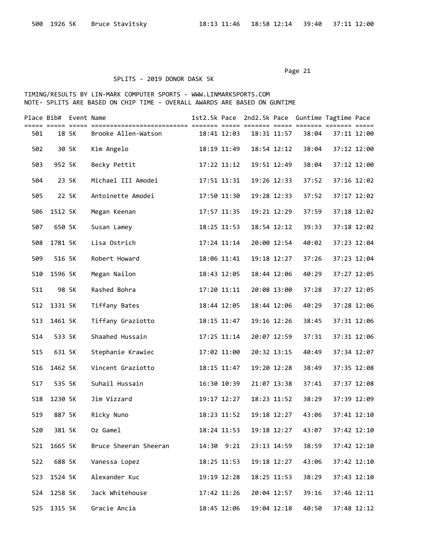### SPLITS - 2019 DONOR DASK 5K

|     | Place Bib# Event Name |       |                       |             |             |       | 1st2.5k Pace 2nd2.5k Pace Guntime Tagtime Pace |             |
|-----|-----------------------|-------|-----------------------|-------------|-------------|-------|------------------------------------------------|-------------|
| 501 | ===== ===== =====     | 18 5K | Brooke Allen-Watson   | 18:41 12:03 | 18:31 11:57 | 38:04 | 37:11 12:00                                    |             |
| 502 |                       | 30 5K | Kim Angelo            | 18:19 11:49 | 18:54 12:12 | 38:04 | 37:12 12:00                                    |             |
| 503 | 952 5K                |       | Becky Pettit          | 17:22 11:12 | 19:51 12:49 | 38:04 | 37:12 12:00                                    |             |
| 504 |                       | 23 5K | Michael III Amodei    | 17:51 11:31 | 19:26 12:33 | 37:52 | 37:16 12:02                                    |             |
| 505 |                       | 22 5K | Antoinette Amodei     | 17:50 11:30 | 19:28 12:33 | 37:52 | 37:17 12:02                                    |             |
| 506 | 1512 5K               |       | Megan Keenan          | 17:57 11:35 | 19:21 12:29 | 37:59 | 37:18 12:02                                    |             |
| 507 | 650 5K                |       | Susan Lamey           | 18:25 11:53 | 18:54 12:12 | 39:33 |                                                | 37:18 12:02 |
| 508 | 1781 5K               |       | Lisa Ostrich          | 17:24 11:14 | 20:00 12:54 | 40:02 |                                                | 37:23 12:04 |
| 509 | 516 5K                |       | Robert Howard         | 18:06 11:41 | 19:18 12:27 | 37:26 | 37:23 12:04                                    |             |
| 510 | 1596 5K               |       | Megan Nailon          | 18:43 12:05 | 18:44 12:06 | 40:29 | 37:27 12:05                                    |             |
| 511 |                       | 98 5K | Rashed Bohra          | 17:20 11:11 | 20:08 13:00 | 37:28 | 37:27 12:05                                    |             |
| 512 | 1331 5K               |       | Tiffany Bates         | 18:44 12:05 | 18:44 12:06 | 40:29 | 37:28 12:06                                    |             |
| 513 | 1461 5K               |       | Tiffany Graziotto     | 18:15 11:47 | 19:16 12:26 | 38:45 | 37:31 12:06                                    |             |
| 514 | 533 5K                |       | Shaahed Hussain       | 17:25 11:14 | 20:07 12:59 | 37:31 | 37:31 12:06                                    |             |
| 515 | 631 5K                |       | Stephanie Krawiec     | 17:02 11:00 | 20:32 13:15 | 40:49 |                                                | 37:34 12:07 |
| 516 | 1462 5K               |       | Vincent Graziotto     | 18:15 11:47 | 19:20 12:28 | 38:49 | 37:35 12:08                                    |             |
| 517 | 535 5K                |       | Suhail Hussain        | 16:30 10:39 | 21:07 13:38 | 37:41 | 37:37 12:08                                    |             |
| 518 | 1230 5K               |       | Jim Vizzard           | 19:17 12:27 | 18:23 11:52 | 38:29 | 37:39 12:09                                    |             |
| 519 | 887 5K                |       | Ricky Nuno            | 18:23 11:52 | 19:18 12:27 | 43:06 | 37:41 12:10                                    |             |
| 520 | 381 5K                |       | Oz Gamel              | 18:24 11:53 | 19:18 12:27 | 43:07 | 37:42 12:10                                    |             |
| 521 | 1665 5K               |       | Bruce Sheeran Sheeran | 14:30 9:21  | 23:13 14:59 | 38:59 |                                                | 37:42 12:10 |
| 522 | 688 5K                |       | Vanessa Lopez         | 18:25 11:53 | 19:18 12:27 | 43:06 | 37:42 12:10                                    |             |
| 523 | 1524 5K               |       | Alexander Kuc         | 19:19 12:28 | 18:25 11:53 | 38:29 | 37:43 12:10                                    |             |
| 524 | 1258 5K               |       | Jack Whitehouse       | 17:42 11:26 | 20:04 12:57 | 39:16 |                                                | 37:46 12:11 |
| 525 | 1315 5K               |       | Gracie Ancia          | 18:45 12:06 | 19:04 12:18 | 40:50 |                                                | 37:48 12:12 |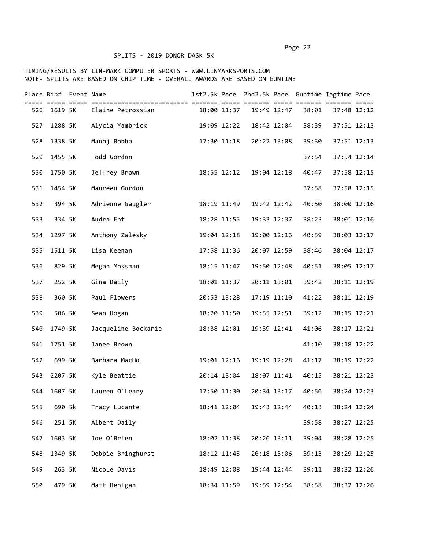# SPLITS - 2019 DONOR DASK 5K

|     | Place Bib# Event Name |                     |             |             | 1st2.5k Pace 2nd2.5k Pace Guntime Tagtime Pace |             |             |
|-----|-----------------------|---------------------|-------------|-------------|------------------------------------------------|-------------|-------------|
| 526 | 1619 5K               | Elaine Petrossian   | 18:00 11:37 | 19:49 12:47 | 38:01                                          | 37:48 12:12 |             |
| 527 | 1288 5K               | Alycia Yambrick     | 19:09 12:22 | 18:42 12:04 | 38:39                                          | 37:51 12:13 |             |
| 528 | 1338 5K               | Manoj Bobba         | 17:30 11:18 | 20:22 13:08 | 39:30                                          | 37:51 12:13 |             |
| 529 | 1455 5K               | Todd Gordon         |             |             | 37:54                                          | 37:54 12:14 |             |
| 530 | 1750 5K               | Jeffrey Brown       | 18:55 12:12 | 19:04 12:18 | 40:47                                          | 37:58 12:15 |             |
| 531 | 1454 5K               | Maureen Gordon      |             |             | 37:58                                          | 37:58 12:15 |             |
| 532 | 394 5K                | Adrienne Gaugler    | 18:19 11:49 | 19:42 12:42 | 40:50                                          | 38:00 12:16 |             |
| 533 | 334 5K                | Audra Ent           | 18:28 11:55 | 19:33 12:37 | 38:23                                          | 38:01 12:16 |             |
| 534 | 1297 5K               | Anthony Zalesky     | 19:04 12:18 | 19:00 12:16 | 40:59                                          | 38:03 12:17 |             |
| 535 | 1511 5K               | Lisa Keenan         | 17:58 11:36 | 20:07 12:59 | 38:46                                          | 38:04 12:17 |             |
| 536 | 829 5K                | Megan Mossman       | 18:15 11:47 | 19:50 12:48 | 40:51                                          | 38:05 12:17 |             |
| 537 | 252 5K                | Gina Daily          | 18:01 11:37 | 20:11 13:01 | 39:42                                          | 38:11 12:19 |             |
| 538 | 360 5K                | Paul Flowers        | 20:53 13:28 | 17:19 11:10 | 41:22                                          | 38:11 12:19 |             |
| 539 | 506 5K                | Sean Hogan          | 18:20 11:50 | 19:55 12:51 | 39:12                                          | 38:15 12:21 |             |
| 540 | 1749 5K               | Jacqueline Bockarie | 18:38 12:01 | 19:39 12:41 | 41:06                                          | 38:17 12:21 |             |
| 541 | 1751 5K               | Janee Brown         |             |             | 41:10                                          |             | 38:18 12:22 |
| 542 | 699 5K                | Barbara MacHo       | 19:01 12:16 | 19:19 12:28 | 41:17                                          |             | 38:19 12:22 |
| 543 | 2207 5K               | Kyle Beattie        | 20:14 13:04 | 18:07 11:41 | 40:15                                          | 38:21 12:23 |             |
| 544 | 1607 5K               | Lauren O'Leary      | 17:50 11:30 | 20:34 13:17 | 40:56                                          | 38:24 12:23 |             |
| 545 | 690 5k                | Tracy Lucante       | 18:41 12:04 | 19:43 12:44 | 40:13                                          |             | 38:24 12:24 |
| 546 | 251 5K                | Albert Daily        |             |             | 39:58                                          | 38:27 12:25 |             |
| 547 | 1603 5K               | Joe O'Brien         | 18:02 11:38 | 20:26 13:11 | 39:04                                          | 38:28 12:25 |             |
| 548 | 1349 5K               | Debbie Bringhurst   | 18:12 11:45 | 20:18 13:06 | 39:13                                          |             | 38:29 12:25 |
| 549 | 263 5K                | Nicole Davis        | 18:49 12:08 | 19:44 12:44 | 39:11                                          | 38:32 12:26 |             |
| 550 | 479 5K                | Matt Henigan        | 18:34 11:59 | 19:59 12:54 | 38:58                                          |             | 38:32 12:26 |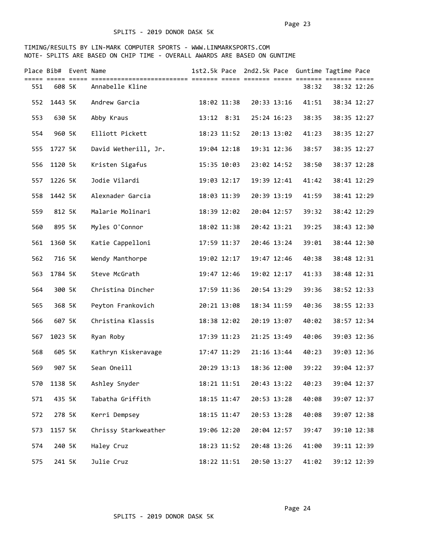|     | Place Bib# Event Name |                      |             |             | 1st2.5k Pace 2nd2.5k Pace Guntime Tagtime Pace |             |             |
|-----|-----------------------|----------------------|-------------|-------------|------------------------------------------------|-------------|-------------|
| 551 | 608 5K                | Annabelle Kline      |             |             | 38:32                                          | 38:32 12:26 |             |
| 552 | 1443 5K               | Andrew Garcia        | 18:02 11:38 | 20:33 13:16 | 41:51                                          | 38:34 12:27 |             |
| 553 | 630 5K                | Abby Kraus           | 13:12 8:31  | 25:24 16:23 | 38:35                                          |             | 38:35 12:27 |
| 554 | 960 5K                | Elliott Pickett      | 18:23 11:52 | 20:13 13:02 | 41:23                                          |             | 38:35 12:27 |
| 555 | 1727 5K               | David Wetherill, Jr. | 19:04 12:18 | 19:31 12:36 | 38:57                                          |             | 38:35 12:27 |
| 556 | 1120 5k               | Kristen Sigafus      | 15:35 10:03 | 23:02 14:52 | 38:50                                          | 38:37 12:28 |             |
| 557 | 1226 5K               | Jodie Vilardi        | 19:03 12:17 | 19:39 12:41 | 41:42                                          |             | 38:41 12:29 |
| 558 | 1442 5K               | Alexnader Garcia     | 18:03 11:39 | 20:39 13:19 | 41:59                                          |             | 38:41 12:29 |
| 559 | 812 5K                | Malarie Molinari     | 18:39 12:02 | 20:04 12:57 | 39:32                                          | 38:42 12:29 |             |
| 560 | 895 5K                | Myles O'Connor       | 18:02 11:38 | 20:42 13:21 | 39:25                                          | 38:43 12:30 |             |
| 561 | 1360 5K               | Katie Cappelloni     | 17:59 11:37 | 20:46 13:24 | 39:01                                          |             | 38:44 12:30 |
| 562 | 716 5K                | Wendy Manthorpe      | 19:02 12:17 | 19:47 12:46 | 40:38                                          | 38:48 12:31 |             |
| 563 | 1784 5K               | Steve McGrath        | 19:47 12:46 | 19:02 12:17 | 41:33                                          | 38:48 12:31 |             |
| 564 | 300 5K                | Christina Dincher    | 17:59 11:36 | 20:54 13:29 | 39:36                                          |             | 38:52 12:33 |
| 565 | 368 5K                | Peyton Frankovich    | 20:21 13:08 | 18:34 11:59 | 40:36                                          |             | 38:55 12:33 |
| 566 | 607 5K                | Christina Klassis    | 18:38 12:02 | 20:19 13:07 | 40:02                                          |             | 38:57 12:34 |
| 567 | 1023 5K               | Ryan Roby            | 17:39 11:23 | 21:25 13:49 | 40:06                                          |             | 39:03 12:36 |
| 568 | 605 5K                | Kathryn Kiskeravage  | 17:47 11:29 | 21:16 13:44 | 40:23                                          |             | 39:03 12:36 |
| 569 | 907 5K                | Sean Oneill          | 20:29 13:13 | 18:36 12:00 | 39:22                                          |             | 39:04 12:37 |
| 570 | 1138 5K               | Ashley Snyder        | 18:21 11:51 | 20:43 13:22 | 40:23                                          |             | 39:04 12:37 |
| 571 | 435 5K                | Tabatha Griffith     | 18:15 11:47 | 20:53 13:28 | 40:08                                          |             | 39:07 12:37 |
| 572 | 278 5K                | Kerri Dempsey        | 18:15 11:47 | 20:53 13:28 | 40:08                                          | 39:07 12:38 |             |
| 573 | 1157 5K               | Chrissy Starkweather | 19:06 12:20 | 20:04 12:57 | 39:47                                          |             | 39:10 12:38 |
| 574 | 240 5K                | Haley Cruz           | 18:23 11:52 | 20:48 13:26 | 41:00                                          |             | 39:11 12:39 |
| 575 | 241 5K                | Julie Cruz           | 18:22 11:51 | 20:50 13:27 | 41:02                                          |             | 39:12 12:39 |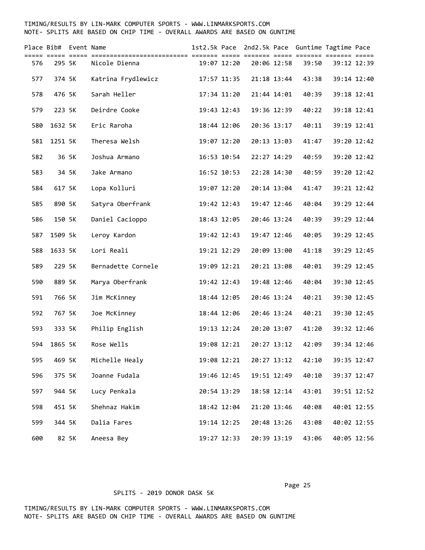#### TIMING/RESULTS BY LIN-MARK COMPUTER SPORTS - WWW.LINMARKSPORTS.COM NOTE- SPLITS ARE BASED ON CHIP TIME - OVERALL AWARDS ARE BASED ON GUNTIME

|     | Place Bib# Event Name |       | ============================ | === =:      |             | 1st2.5k Pace 2nd2.5k Pace Guntime Tagtime Pace | == =======  |             |
|-----|-----------------------|-------|------------------------------|-------------|-------------|------------------------------------------------|-------------|-------------|
| 576 | 295 5K                |       | Nicole Dienna                | 19:07 12:20 | 20:06 12:58 | 39:50                                          | 39:12 12:39 |             |
| 577 | 374 5K                |       | Katrina Frydlewicz           | 17:57 11:35 | 21:18 13:44 | 43:38                                          |             | 39:14 12:40 |
| 578 | 476 5K                |       | Sarah Heller                 | 17:34 11:20 | 21:44 14:01 | 40:39                                          |             | 39:18 12:41 |
| 579 | 223 5K                |       | Deirdre Cooke                | 19:43 12:43 | 19:36 12:39 | 40:22                                          |             | 39:18 12:41 |
| 580 | 1632 5K               |       | Eric Raroha                  | 18:44 12:06 | 20:36 13:17 | 40:11                                          |             | 39:19 12:41 |
| 581 | 1251 5K               |       | Theresa Welsh                | 19:07 12:20 | 20:13 13:03 | 41:47                                          | 39:20 12:42 |             |
| 582 |                       | 36 5K | Joshua Armano                | 16:53 10:54 | 22:27 14:29 | 40:59                                          | 39:20 12:42 |             |
| 583 |                       | 34 5K | Jake Armano                  | 16:52 10:53 | 22:28 14:30 | 40:59                                          |             | 39:20 12:42 |
| 584 | 617 5K                |       | Lopa Kolluri                 | 19:07 12:20 | 20:14 13:04 | 41:47                                          |             | 39:21 12:42 |
| 585 | 890 5K                |       | Satyra Oberfrank             | 19:42 12:43 | 19:47 12:46 | 40:04                                          |             | 39:29 12:44 |
| 586 | 150 5K                |       | Daniel Cacioppo              | 18:43 12:05 | 20:46 13:24 | 40:39                                          |             | 39:29 12:44 |
| 587 | 1509 5k               |       | Leroy Kardon                 | 19:42 12:43 | 19:47 12:46 | 40:05                                          |             | 39:29 12:45 |
| 588 | 1633 5K               |       | Lori Reali                   | 19:21 12:29 | 20:09 13:00 | 41:18                                          |             | 39:29 12:45 |
| 589 | 229 5K                |       | Bernadette Cornele           | 19:09 12:21 | 20:21 13:08 | 40:01                                          |             | 39:29 12:45 |
| 590 | 889 5K                |       | Marya Oberfrank              | 19:42 12:43 | 19:48 12:46 | 40:04                                          |             | 39:30 12:45 |
| 591 | 766 5K                |       | Jim McKinney                 | 18:44 12:05 | 20:46 13:24 | 40:21                                          |             | 39:30 12:45 |
| 592 | 767 5K                |       | Joe McKinney                 | 18:44 12:06 | 20:46 13:24 | 40:21                                          |             | 39:30 12:45 |
| 593 | 333 5K                |       | Philip English               | 19:13 12:24 | 20:20 13:07 | 41:20                                          |             | 39:32 12:46 |
| 594 | 1865 5K               |       | Rose Wells                   | 19:08 12:21 | 20:27 13:12 | 42:09                                          |             | 39:34 12:46 |
| 595 | 469 5K                |       | Michelle Healy               | 19:08 12:21 | 20:27 13:12 | 42:10                                          |             | 39:35 12:47 |
| 596 | 375 5K                |       | Joanne Fudala                | 19:46 12:45 | 19:51 12:49 | 40:10                                          |             | 39:37 12:47 |
| 597 | 944 5K                |       | Lucy Penkala                 | 20:54 13:29 | 18:58 12:14 | 43:01                                          |             | 39:51 12:52 |
| 598 | 451 5K                |       | Shehnaz Hakim                | 18:42 12:04 | 21:20 13:46 | 40:08                                          | 40:01 12:55 |             |
| 599 | 344 5K                |       | Dalia Fares                  | 19:14 12:25 | 20:48 13:26 | 43:08                                          |             | 40:02 12:55 |
| 600 |                       | 82 5K | Aneesa Bey                   | 19:27 12:33 | 20:39 13:19 | 43:06                                          |             | 40:05 12:56 |

#### SPLITS - 2019 DONOR DASK 5K

Page 25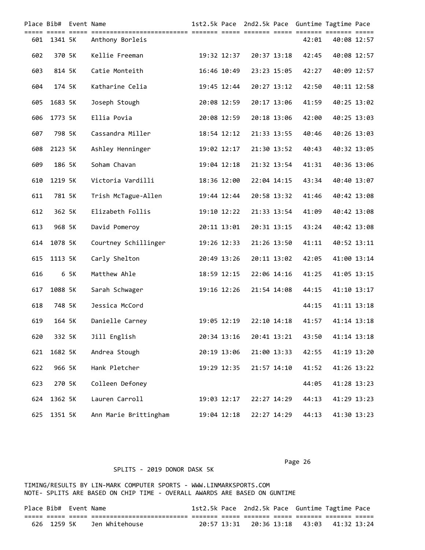|     | Place Bib# Event Name |      |                       |             |             |             | 1st2.5k Pace 2nd2.5k Pace Guntime Tagtime Pace |             |  |
|-----|-----------------------|------|-----------------------|-------------|-------------|-------------|------------------------------------------------|-------------|--|
| 601 | 1341 5K               |      | Anthony Borleis       |             |             |             | 42:01                                          | 40:08 12:57 |  |
| 602 | 370 5K                |      | Kellie Freeman        | 19:32 12:37 |             | 20:37 13:18 | 42:45                                          | 40:08 12:57 |  |
| 603 | 814 5K                |      | Catie Monteith        | 16:46 10:49 |             | 23:23 15:05 | 42:27                                          | 40:09 12:57 |  |
| 604 | 174 5K                |      | Katharine Celia       | 19:45 12:44 |             | 20:27 13:12 | 42:50                                          | 40:11 12:58 |  |
| 605 | 1683 5K               |      | Joseph Stough         | 20:08 12:59 |             | 20:17 13:06 | 41:59                                          | 40:25 13:02 |  |
| 606 | 1773 5K               |      | Ellia Povia           | 20:08 12:59 |             | 20:18 13:06 | 42:00                                          | 40:25 13:03 |  |
| 607 | 798 5K                |      | Cassandra Miller      | 18:54 12:12 |             | 21:33 13:55 | 40:46                                          | 40:26 13:03 |  |
| 608 | 2123 5K               |      | Ashley Henninger      | 19:02 12:17 |             | 21:30 13:52 | 40:43                                          | 40:32 13:05 |  |
| 609 | 186 5K                |      | Soham Chavan          | 19:04 12:18 |             | 21:32 13:54 | 41:31                                          | 40:36 13:06 |  |
| 610 | 1219 5K               |      | Victoria Vardilli     | 18:36 12:00 |             | 22:04 14:15 | 43:34                                          | 40:40 13:07 |  |
| 611 | 781 5K                |      | Trish McTague-Allen   | 19:44 12:44 |             | 20:58 13:32 | 41:46                                          | 40:42 13:08 |  |
| 612 | 362 5K                |      | Elizabeth Follis      | 19:10 12:22 |             | 21:33 13:54 | 41:09                                          | 40:42 13:08 |  |
| 613 | 968 5K                |      | David Pomeroy         | 20:11 13:01 |             | 20:31 13:15 | 43:24                                          | 40:42 13:08 |  |
| 614 | 1078 5K               |      | Courtney Schillinger  | 19:26 12:33 |             | 21:26 13:50 | 41:11                                          | 40:52 13:11 |  |
| 615 | 1113 5K               |      | Carly Shelton         | 20:49 13:26 |             | 20:11 13:02 | 42:05                                          | 41:00 13:14 |  |
| 616 |                       | 6 5K | Matthew Ahle          | 18:59 12:15 |             | 22:06 14:16 | 41:25                                          | 41:05 13:15 |  |
| 617 | 1088 5K               |      | Sarah Schwager        | 19:16 12:26 |             | 21:54 14:08 | 44:15                                          | 41:10 13:17 |  |
| 618 | 748 5K                |      | Jessica McCord        |             |             |             | 44:15                                          | 41:11 13:18 |  |
| 619 | 164 5K                |      | Danielle Carney       | 19:05 12:19 | 22:10 14:18 |             | 41:57                                          | 41:14 13:18 |  |
| 620 | 332 5K                |      | Jill English          | 20:34 13:16 |             | 20:41 13:21 | 43:50                                          | 41:14 13:18 |  |
| 621 | 1682 5K               |      | Andrea Stough         | 20:19 13:06 |             | 21:00 13:33 | 42:55                                          | 41:19 13:20 |  |
| 622 | 966 5K                |      | Hank Pletcher         | 19:29 12:35 |             | 21:57 14:10 | 41:52                                          | 41:26 13:22 |  |
| 623 | 270 5K                |      | Colleen Defoney       |             |             |             | 44:05                                          | 41:28 13:23 |  |
| 624 | 1362 5K               |      | Lauren Carroll        | 19:03 12:17 | 22:27 14:29 |             | 44:13                                          | 41:29 13:23 |  |
| 625 | 1351 5K               |      | Ann Marie Brittingham | 19:04 12:18 |             | 22:27 14:29 | 44:13                                          | 41:30 13:23 |  |

TIMING/RESULTS BY LIN-MARK COMPUTER SPORTS - WWW.LINMARKSPORTS.COM NOTE- SPLITS ARE BASED ON CHIP TIME - OVERALL AWARDS ARE BASED ON GUNTIME

| Place Bib# Event Name |  |                            |  |  | 1st2.5k Pace 2nd2.5k Pace Guntime Tagtime Pace |  |
|-----------------------|--|----------------------------|--|--|------------------------------------------------|--|
|                       |  | ._______________________   |  |  |                                                |  |
|                       |  | 626 1259 5K Jen Whitehouse |  |  |                                                |  |

Page 26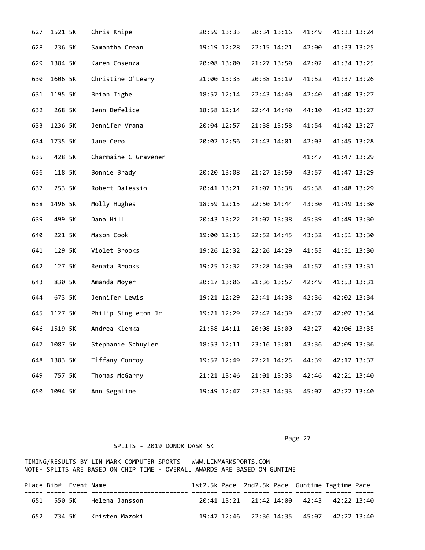| 627 | 1521 5K | Chris Knipe          | 20:59 13:33 | 20:34 13:16 | 41:49 | 41:33 13:24 |
|-----|---------|----------------------|-------------|-------------|-------|-------------|
| 628 | 236 5K  | Samantha Crean       | 19:19 12:28 | 22:15 14:21 | 42:00 | 41:33 13:25 |
| 629 | 1384 5K | Karen Cosenza        | 20:08 13:00 | 21:27 13:50 | 42:02 | 41:34 13:25 |
| 630 | 1606 5K | Christine O'Leary    | 21:00 13:33 | 20:38 13:19 | 41:52 | 41:37 13:26 |
| 631 | 1195 5K | Brian Tighe          | 18:57 12:14 | 22:43 14:40 | 42:40 | 41:40 13:27 |
| 632 | 268 5K  | Jenn Defelice        | 18:58 12:14 | 22:44 14:40 | 44:10 | 41:42 13:27 |
| 633 | 1236 5K | Jennifer Vrana       | 20:04 12:57 | 21:38 13:58 | 41:54 | 41:42 13:27 |
| 634 | 1735 5K | Jane Cero            | 20:02 12:56 | 21:43 14:01 | 42:03 | 41:45 13:28 |
| 635 | 428 5K  | Charmaine C Gravener |             |             | 41:47 | 41:47 13:29 |
| 636 | 118 5K  | Bonnie Brady         | 20:20 13:08 | 21:27 13:50 | 43:57 | 41:47 13:29 |
| 637 | 253 5K  | Robert Dalessio      | 20:41 13:21 | 21:07 13:38 | 45:38 | 41:48 13:29 |
| 638 | 1496 5K | Molly Hughes         | 18:59 12:15 | 22:50 14:44 | 43:30 | 41:49 13:30 |
| 639 | 499 5K  | Dana Hill            | 20:43 13:22 | 21:07 13:38 | 45:39 | 41:49 13:30 |
| 640 | 221 5K  | Mason Cook           | 19:00 12:15 | 22:52 14:45 | 43:32 | 41:51 13:30 |
| 641 | 129 5K  | Violet Brooks        | 19:26 12:32 | 22:26 14:29 | 41:55 | 41:51 13:30 |
| 642 | 127 5K  | Renata Brooks        | 19:25 12:32 | 22:28 14:30 | 41:57 | 41:53 13:31 |
| 643 | 830 5K  | Amanda Moyer         | 20:17 13:06 | 21:36 13:57 | 42:49 | 41:53 13:31 |
| 644 | 673 5K  | Jennifer Lewis       | 19:21 12:29 | 22:41 14:38 | 42:36 | 42:02 13:34 |
| 645 | 1127 5K | Philip Singleton Jr  | 19:21 12:29 | 22:42 14:39 | 42:37 | 42:02 13:34 |
| 646 | 1519 5K | Andrea Klemka        | 21:58 14:11 | 20:08 13:00 | 43:27 | 42:06 13:35 |
| 647 | 1087 5k | Stephanie Schuyler   | 18:53 12:11 | 23:16 15:01 | 43:36 | 42:09 13:36 |
| 648 | 1383 5K | Tiffany Conroy       | 19:52 12:49 | 22:21 14:25 | 44:39 | 42:12 13:37 |
| 649 | 757 5K  | Thomas McGarry       | 21:21 13:46 | 21:01 13:33 | 42:46 | 42:21 13:40 |
| 650 | 1094 5K | Ann Segaline         | 19:49 12:47 | 22:33 14:33 | 45:07 | 42:22 13:40 |

Page 27

| Place Bib# Event Name |                                |  |  | 1st2.5k Pace 2nd2.5k Pace Guntime Tagtime Pace |  |
|-----------------------|--------------------------------|--|--|------------------------------------------------|--|
|                       |                                |  |  |                                                |  |
|                       | 651 550 5K Helena Jansson      |  |  | 20:41 13:21 21:42 14:00 42:43 42:22 13:40      |  |
|                       | 652   734 5K    Kristen Mazoki |  |  |                                                |  |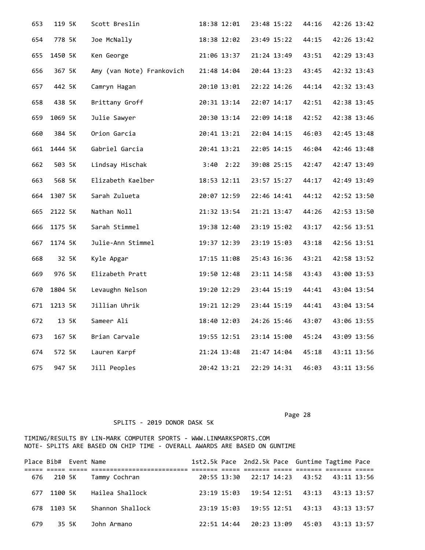| 653 | 119 5K  | Scott Breslin             | 18:38 12:01   | 23:48 15:22 | 44:16 | 42:26 13:42 |
|-----|---------|---------------------------|---------------|-------------|-------|-------------|
| 654 | 778 5K  | Joe McNally               | 18:38 12:02   | 23:49 15:22 | 44:15 | 42:26 13:42 |
| 655 | 1450 5K | Ken George                | 21:06 13:37   | 21:24 13:49 | 43:51 | 42:29 13:43 |
| 656 | 367 5K  | Amy (van Note) Frankovich | 21:48 14:04   | 20:44 13:23 | 43:45 | 42:32 13:43 |
| 657 | 442 5K  | Camryn Hagan              | 20:10 13:01   | 22:22 14:26 | 44:14 | 42:32 13:43 |
| 658 | 438 5K  | Brittany Groff            | 20:31 13:14   | 22:07 14:17 | 42:51 | 42:38 13:45 |
| 659 | 1069 5K | Julie Sawyer              | 20:30 13:14   | 22:09 14:18 | 42:52 | 42:38 13:46 |
| 660 | 384 5K  | Orion Garcia              | 20:41 13:21   | 22:04 14:15 | 46:03 | 42:45 13:48 |
| 661 | 1444 5K | Gabriel Garcia            | 20:41 13:21   | 22:05 14:15 | 46:04 | 42:46 13:48 |
| 662 | 503 5K  | Lindsay Hischak           | $3:40$ $2:22$ | 39:08 25:15 | 42:47 | 42:47 13:49 |
| 663 | 568 5K  | Elizabeth Kaelber         | 18:53 12:11   | 23:57 15:27 | 44:17 | 42:49 13:49 |
| 664 | 1307 5K | Sarah Zulueta             | 20:07 12:59   | 22:46 14:41 | 44:12 | 42:52 13:50 |
| 665 | 2122 5K | Nathan Noll               | 21:32 13:54   | 21:21 13:47 | 44:26 | 42:53 13:50 |
| 666 | 1175 5K | Sarah Stimmel             | 19:38 12:40   | 23:19 15:02 | 43:17 | 42:56 13:51 |
| 667 | 1174 5K | Julie-Ann Stimmel         | 19:37 12:39   | 23:19 15:03 | 43:18 | 42:56 13:51 |
| 668 | 32 5K   | Kyle Apgar                | 17:15 11:08   | 25:43 16:36 | 43:21 | 42:58 13:52 |
| 669 | 976 5K  | Elizabeth Pratt           | 19:50 12:48   | 23:11 14:58 | 43:43 | 43:00 13:53 |
| 670 | 1804 5K | Levaughn Nelson           | 19:20 12:29   | 23:44 15:19 | 44:41 | 43:04 13:54 |
| 671 | 1213 5K | Jillian Uhrik             | 19:21 12:29   | 23:44 15:19 | 44:41 | 43:04 13:54 |
| 672 | 13 5K   | Sameer Ali                | 18:40 12:03   | 24:26 15:46 | 43:07 | 43:06 13:55 |
| 673 | 167 5K  | Brian Carvale             | 19:55 12:51   | 23:14 15:00 | 45:24 | 43:09 13:56 |
| 674 | 572 5K  | Lauren Karpf              | 21:24 13:48   | 21:47 14:04 | 45:18 | 43:11 13:56 |
| 675 | 947 5K  | Jill Peoples              | 20:42 13:21   | 22:29 14:31 | 46:03 | 43:11 13:56 |

Page 28

| Place Bib# Event Name |             |                          |  |                         |  | 1st2.5k Pace 2nd2.5k Pace Guntime Tagtime Pace |  |
|-----------------------|-------------|--------------------------|--|-------------------------|--|------------------------------------------------|--|
|                       |             |                          |  |                         |  |                                                |  |
|                       |             | 676 210 5K Tammy Cochran |  |                         |  | 20:55 13:30 22:17 14:23 43:52 43:11 13:56      |  |
|                       | 677 1100 5K | Hailea Shallock          |  |                         |  | 23:19 15:03 19:54 12:51 43:13 43:13 13:57      |  |
|                       | 678 1103 5K | Shannon Shallock         |  |                         |  | 23:19 15:03 19:55 12:51 43:13 43:13 13:57      |  |
| 679                   | 35 SK       | John Armano              |  | 22:51 14:44 20:23 13:09 |  | 45:03 43:13 13:57                              |  |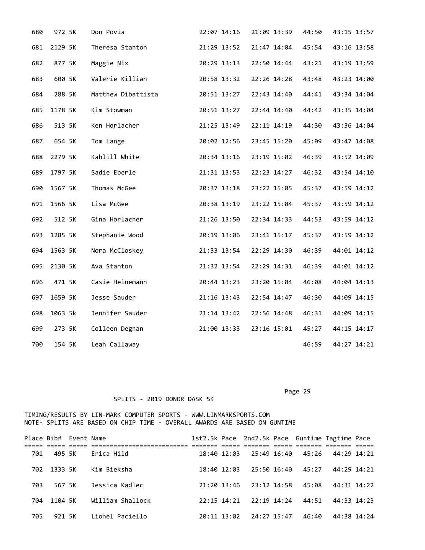| 680 | 972 5K  | Don Povia          | 22:07 14:16 | 21:09 13:39 | 44:50 | 43:15 13:57 |
|-----|---------|--------------------|-------------|-------------|-------|-------------|
| 681 | 2129 5K | Theresa Stanton    | 21:29 13:52 | 21:47 14:04 | 45:54 | 43:16 13:58 |
| 682 | 877 5K  | Maggie Nix         | 20:29 13:13 | 22:50 14:44 | 43:21 | 43:19 13:59 |
| 683 | 600 5K  | Valerie Killian    | 20:58 13:32 | 22:26 14:28 | 43:48 | 43:23 14:00 |
| 684 | 288 5K  | Matthew Dibattista | 20:51 13:27 | 22:43 14:40 | 44:41 | 43:34 14:04 |
| 685 | 1178 5K | Kim Stowman        | 20:51 13:27 | 22:44 14:40 | 44:42 | 43:35 14:04 |
| 686 | 513 5K  | Ken Horlacher      | 21:25 13:49 | 22:11 14:19 | 44:30 | 43:36 14:04 |
| 687 | 654 5K  | Tom Lange          | 20:02 12:56 | 23:45 15:20 | 45:09 | 43:47 14:08 |
| 688 | 2279 5K | Kahlill White      | 20:34 13:16 | 23:19 15:02 | 46:39 | 43:52 14:09 |
| 689 | 1797 5K | Sadie Eberle       | 21:31 13:53 | 22:23 14:27 | 46:32 | 43:54 14:10 |
| 690 | 1567 5K | Thomas McGee       | 20:37 13:18 | 23:22 15:05 | 45:37 | 43:59 14:12 |
| 691 | 1566 5K | Lisa McGee         | 20:38 13:19 | 23:22 15:04 | 45:37 | 43:59 14:12 |
| 692 | 512 5K  | Gina Horlacher     | 21:26 13:50 | 22:34 14:33 | 44:53 | 43:59 14:12 |
| 693 | 1285 5K | Stephanie Wood     | 20:19 13:06 | 23:41 15:17 | 45:37 | 43:59 14:12 |
| 694 | 1563 5K | Nora McCloskey     | 21:33 13:54 | 22:29 14:30 | 46:39 | 44:01 14:12 |
| 695 | 2130 5K | Ava Stanton        | 21:32 13:54 | 22:29 14:31 | 46:39 | 44:01 14:12 |
| 696 | 471 5K  | Casie Heinemann    | 20:44 13:23 | 23:20 15:04 | 46:08 | 44:04 14:13 |
| 697 | 1659 5K | Jesse Sauder       | 21:16 13:43 | 22:54 14:47 | 46:30 | 44:09 14:15 |
| 698 | 1063 5k | Jennifer Sauder    | 21:14 13:42 | 22:56 14:48 | 46:31 | 44:09 14:15 |
| 699 | 273 5K  | Colleen Degnan     | 21:00 13:33 | 23:16 15:01 | 45:27 | 44:15 14:17 |
| 700 | 154 5K  | Leah Callaway      |             |             | 46:59 | 44:27 14:21 |

Page 29

|     | Place Bib# Event Name |                  |             |                                 |       | 1st2.5k Pace 2nd2.5k Pace Guntime Tagtime Pace |  |
|-----|-----------------------|------------------|-------------|---------------------------------|-------|------------------------------------------------|--|
|     |                       |                  |             |                                 |       |                                                |  |
| 701 | 495 SK                | Erica Hild       | 18:40 12:03 | 25:49 16:40                     |       | 45:26 44:29 14:21                              |  |
|     | 702 1333 5K           | Kim Bieksha      | 18:40 12:03 | 25:50 16:40                     | 45:27 | 44:29 14:21                                    |  |
| 703 | 567 5K                | Jessica Kadlec   | 21:20 13:46 | 23:12 14:58                     | 45:08 | 44:31 14:22                                    |  |
|     | 704 1104 5K           | William Shallock |             | $22:15$ $14:21$ $22:19$ $14:24$ | 44:51 | 44:33 14:23                                    |  |
| 705 | 921 5K                | Lionel Paciello  |             | 20:11 13:02 24:27 15:47         | 46:40 | 44:38 14:24                                    |  |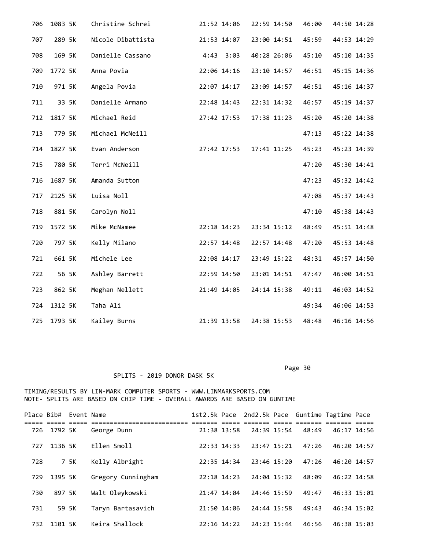| 706 | 1083 5K | Christine Schrei  | 21:52 14:06   | 22:59 14:50 | 46:00 | 44:50 14:28 |
|-----|---------|-------------------|---------------|-------------|-------|-------------|
| 707 | 289 5k  | Nicole Dibattista | 21:53 14:07   | 23:00 14:51 | 45:59 | 44:53 14:29 |
| 708 | 169 5K  | Danielle Cassano  | $4:43$ $3:03$ | 40:28 26:06 | 45:10 | 45:10 14:35 |
| 709 | 1772 5K | Anna Povia        | 22:06 14:16   | 23:10 14:57 | 46:51 | 45:15 14:36 |
| 710 | 971 5K  | Angela Povia      | 22:07 14:17   | 23:09 14:57 | 46:51 | 45:16 14:37 |
| 711 | 33 5K   | Danielle Armano   | 22:48 14:43   | 22:31 14:32 | 46:57 | 45:19 14:37 |
| 712 | 1817 5K | Michael Reid      | 27:42 17:53   | 17:38 11:23 | 45:20 | 45:20 14:38 |
| 713 | 779 5K  | Michael McNeill   |               |             | 47:13 | 45:22 14:38 |
| 714 | 1827 5K | Evan Anderson     | 27:42 17:53   | 17:41 11:25 | 45:23 | 45:23 14:39 |
| 715 | 780 5K  | Terri McNeill     |               |             | 47:20 | 45:30 14:41 |
| 716 | 1687 5K | Amanda Sutton     |               |             | 47:23 | 45:32 14:42 |
| 717 | 2125 5K | Luisa Noll        |               |             | 47:08 | 45:37 14:43 |
| 718 | 881 5K  | Carolyn Noll      |               |             | 47:10 | 45:38 14:43 |
| 719 | 1572 5K | Mike McNamee      | 22:18 14:23   | 23:34 15:12 | 48:49 | 45:51 14:48 |
| 720 | 797 5K  | Kelly Milano      | 22:57 14:48   | 22:57 14:48 | 47:20 | 45:53 14:48 |
| 721 | 661 5K  | Michele Lee       | 22:08 14:17   | 23:49 15:22 | 48:31 | 45:57 14:50 |
| 722 | 56 5K   | Ashley Barrett    | 22:59 14:50   | 23:01 14:51 | 47:47 | 46:00 14:51 |
| 723 | 862 5K  | Meghan Nellett    | 21:49 14:05   | 24:14 15:38 | 49:11 | 46:03 14:52 |
| 724 | 1312 5K | Taha Ali          |               |             | 49:34 | 46:06 14:53 |
| 725 | 1793 5K | Kailey Burns      | 21:39 13:58   | 24:38 15:53 | 48:48 | 46:16 14:56 |

SPLITS - 2019 DONOR DASK 5K

|     | Place Bib# Event Name |      |                                |                 |             | 1st2.5k Pace 2nd2.5k Pace Guntime Tagtime Pace |             |  |
|-----|-----------------------|------|--------------------------------|-----------------|-------------|------------------------------------------------|-------------|--|
| 726 | 1792 5K               |      | ===============<br>George Dunn | 21:38 13:58     | 24:39 15:54 | 48:49                                          | 46:17 14:56 |  |
| 727 | 1136 5K               |      | Ellen Smoll                    | 22:33 14:33     | 23:47 15:21 | 47:26                                          | 46:20 14:57 |  |
| 728 |                       | 7 5K | Kelly Albright                 | 22:35 14:34     | 23:46 15:20 | 47:26                                          | 46:20 14:57 |  |
| 729 | 1395 5K               |      | Gregory Cunningham             | $22:18$ 14:23   | 24:04 15:32 | 48:09                                          | 46:22 14:58 |  |
| 730 | 897 5K                |      | Walt Oleykowski                | 21:47 14:04     | 24:46 15:59 | 49:47                                          | 46:33 15:01 |  |
| 731 | 59 5K                 |      | Taryn Bartasavich              | 21:50 14:06     | 24:44 15:58 | 49:43                                          | 46:34 15:02 |  |
| 732 | 1101 5K               |      | Keira Shallock                 | $22:16$ $14:22$ | 24:23 15:44 | 46:56                                          | 46:38 15:03 |  |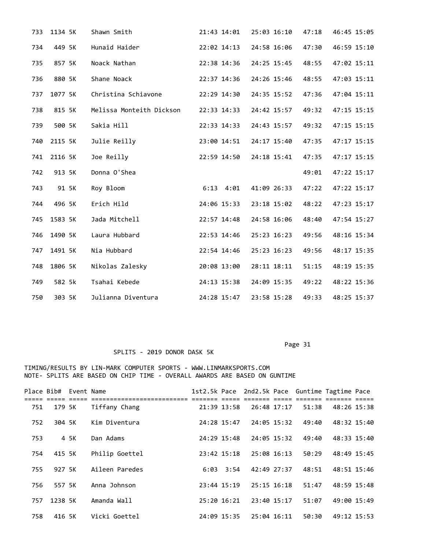| 733 | 1134 5K | Shawn Smith              | 21:43 14:01   | 25:03 16:10 | 47:18 | 46:45 15:05 |
|-----|---------|--------------------------|---------------|-------------|-------|-------------|
| 734 | 449 5K  | Hunaid Haider            | 22:02 14:13   | 24:58 16:06 | 47:30 | 46:59 15:10 |
| 735 | 857 5K  | Noack Nathan             | 22:38 14:36   | 24:25 15:45 | 48:55 | 47:02 15:11 |
| 736 | 880 5K  | Shane Noack              | 22:37 14:36   | 24:26 15:46 | 48:55 | 47:03 15:11 |
| 737 | 1077 5K | Christina Schiavone      | 22:29 14:30   | 24:35 15:52 | 47:36 | 47:04 15:11 |
| 738 | 815 5K  | Melissa Monteith Dickson | 22:33 14:33   | 24:42 15:57 | 49:32 | 47:15 15:15 |
| 739 | 500 5K  | Sakia Hill               | 22:33 14:33   | 24:43 15:57 | 49:32 | 47:15 15:15 |
| 740 | 2115 5K | Julie Reilly             | 23:00 14:51   | 24:17 15:40 | 47:35 | 47:17 15:15 |
| 741 | 2116 5K | Joe Reilly               | 22:59 14:50   | 24:18 15:41 | 47:35 | 47:17 15:15 |
| 742 | 913 5K  | Donna O'Shea             |               |             | 49:01 | 47:22 15:17 |
| 743 | 91 5K   | Roy Bloom                | $6:13$ $4:01$ | 41:09 26:33 | 47:22 | 47:22 15:17 |
| 744 | 496 5K  | Erich Hild               | 24:06 15:33   | 23:18 15:02 | 48:22 | 47:23 15:17 |
| 745 | 1583 5K | Jada Mitchell            | 22:57 14:48   | 24:58 16:06 | 48:40 | 47:54 15:27 |
| 746 | 1490 5K | Laura Hubbard            | 22:53 14:46   | 25:23 16:23 | 49:56 | 48:16 15:34 |
| 747 | 1491 5K | Nia Hubbard              | 22:54 14:46   | 25:23 16:23 | 49:56 | 48:17 15:35 |
| 748 | 1806 5K | Nikolas Zalesky          | 20:08 13:00   | 28:11 18:11 | 51:15 | 48:19 15:35 |
| 749 | 582 5k  | Tsahai Kebede            | 24:13 15:38   | 24:09 15:35 | 49:22 | 48:22 15:36 |
| 750 | 303 5K  | Julianna Diventura       | 24:28 15:47   | 23:58 15:28 | 49:33 | 48:25 15:37 |

Page 31

|     | Place Bib# Event Name |      |                |               |               |                 | 1st2.5k Pace 2nd2.5k Pace Guntime Tagtime Pace |             |  |
|-----|-----------------------|------|----------------|---------------|---------------|-----------------|------------------------------------------------|-------------|--|
| 751 | 179 5K                |      | Tiffany Chang  |               | 21:39 13:58   | 26:48 17:17     | 51:38                                          | 48:26 15:38 |  |
| 752 | 304 5K                |      | Kim Diventura  |               | 24:28 15:47   | 24:05 15:32     | 49:40                                          | 48:32 15:40 |  |
| 753 |                       | 4 5K | Dan Adams      | 24:29 15:48   |               | 24:05 15:32     | 49:40                                          | 48:33 15:40 |  |
| 754 | 415 5K                |      | Philip Goettel | $23:42$ 15:18 |               | 25:08 16:13     | 50:29                                          | 48:49 15:45 |  |
| 755 | 927 5K                |      | Aileen Paredes |               | $6:03$ $3:54$ | 42:49 27:37     | 48:51                                          | 48:51 15:46 |  |
| 756 | 557 5K                |      | Anna Johnson   | 23:44 15:19   |               | $25:15$ $16:18$ | 51:47                                          | 48:59 15:48 |  |
| 757 | 1238 5K               |      | Amanda Wall    | $25:20$ 16:21 |               | $23:40$ $15:17$ | 51:07                                          | 49:00 15:49 |  |
| 758 | 416 5K                |      | Vicki Goettel  | 24:09 15:35   |               | $25:04$ 16:11   | 50:30                                          | 49:12 15:53 |  |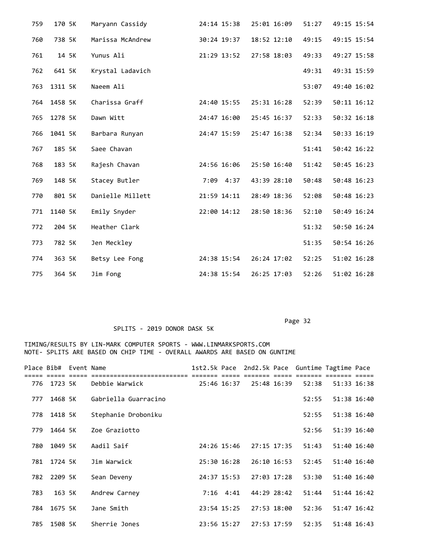| 759 | 170 5K  | Maryann Cassidy  | 24:14 15:38  | 25:01 16:09 | 51:27 | 49:15 15:54 |
|-----|---------|------------------|--------------|-------------|-------|-------------|
| 760 | 738 5K  | Marissa McAndrew | 30:24 19:37  | 18:52 12:10 | 49:15 | 49:15 15:54 |
| 761 | 14 5K   | Yunus Ali        | 21:29 13:52  | 27:58 18:03 | 49:33 | 49:27 15:58 |
| 762 | 641 5K  | Krystal Ladavich |              |             | 49:31 | 49:31 15:59 |
| 763 | 1311 5K | Naeem Ali        |              |             | 53:07 | 49:40 16:02 |
| 764 | 1458 5K | Charissa Graff   | 24:40 15:55  | 25:31 16:28 | 52:39 | 50:11 16:12 |
| 765 | 1278 5K | Dawn Witt        | 24:47 16:00  | 25:45 16:37 | 52:33 | 50:32 16:18 |
| 766 | 1041 5K | Barbara Runyan   | 24:47 15:59  | 25:47 16:38 | 52:34 | 50:33 16:19 |
| 767 | 185 5K  | Saee Chavan      |              |             | 51:41 | 50:42 16:22 |
| 768 | 183 5K  | Rajesh Chavan    | 24:56 16:06  | 25:50 16:40 | 51:42 | 50:45 16:23 |
| 769 | 148 5K  | Stacey Butler    | 7:09<br>4:37 | 43:39 28:10 | 50:48 | 50:48 16:23 |
| 770 | 801 5K  | Danielle Millett | 21:59 14:11  | 28:49 18:36 | 52:08 | 50:48 16:23 |
| 771 | 1140 5K | Emily Snyder     | 22:00 14:12  | 28:50 18:36 | 52:10 | 50:49 16:24 |
| 772 | 204 5K  | Heather Clark    |              |             | 51:32 | 50:50 16:24 |
| 773 | 782 5K  | Jen Meckley      |              |             | 51:35 | 50:54 16:26 |
| 774 | 363 5K  | Betsy Lee Fong   | 24:38 15:54  | 26:24 17:02 | 52:25 | 51:02 16:28 |
| 775 | 364 5K  | Jim Fong         | 24:38 15:54  | 26:25 17:03 | 52:26 | 51:02 16:28 |

Page 32

|     | Place Bib# Event Name |                      | 1st2.5k Pace |             |             |             | 2nd2.5k Pace Guntime Tagtime Pace |             |  |
|-----|-----------------------|----------------------|--------------|-------------|-------------|-------------|-----------------------------------|-------------|--|
| 776 | 1723 5K               | Debbie Warwick       | 25:46 16:37  |             | 25:48 16:39 |             | 52:38                             | 51:33 16:38 |  |
| 777 | 1468 5K               | Gabriella Guarracino |              |             |             |             | 52:55                             | 51:38 16:40 |  |
| 778 | 1418 5K               | Stephanie Droboniku  |              |             |             |             | 52:55                             | 51:38 16:40 |  |
| 779 | 1464 5K               | Zoe Graziotto        |              |             |             |             | 52:56                             | 51:39 16:40 |  |
| 780 | 1049 5K               | Aadil Saif           |              | 24:26 15:46 | 27:15 17:35 |             | 51:43                             | 51:40 16:40 |  |
| 781 | 1724 5K               | Jim Warwick          |              | 25:30 16:28 | 26:10 16:53 |             | 52:45                             | 51:40 16:40 |  |
| 782 | 2209 5K               | Sean Deveny          |              | 24:37 15:53 | 27:03 17:28 |             | 53:30                             | 51:40 16:40 |  |
| 783 | 163 5K                | Andrew Carney        |              | $7:16$ 4:41 | 44:29 28:42 |             | 51:44                             | 51:44 16:42 |  |
| 784 | 1675 5K               | Jane Smith           |              | 23:54 15:25 |             | 27:53 18:00 | 52:36                             | 51:47 16:42 |  |
| 785 | 1508 5K               | Sherrie Jones        |              | 23:56 15:27 | 27:53 17:59 |             | 52:35                             | 51:48 16:43 |  |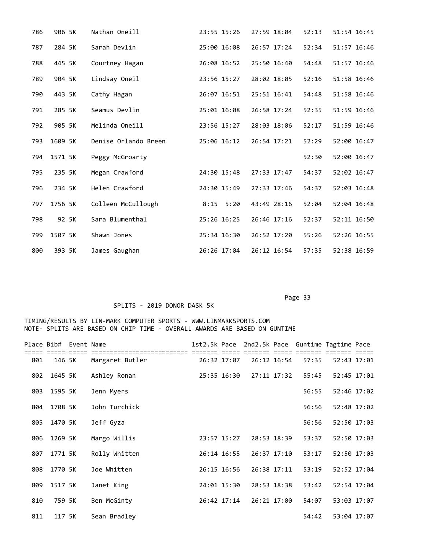| 786 | 906 5K  | Nathan Oneill        | 23:55 15:26 | 27:59 18:04 | 52:13 | 51:54 16:45 |
|-----|---------|----------------------|-------------|-------------|-------|-------------|
| 787 | 284 5K  | Sarah Devlin         | 25:00 16:08 | 26:57 17:24 | 52:34 | 51:57 16:46 |
| 788 | 445 5K  | Courtney Hagan       | 26:08 16:52 | 25:50 16:40 | 54:48 | 51:57 16:46 |
| 789 | 904 5K  | Lindsay Oneil        | 23:56 15:27 | 28:02 18:05 | 52:16 | 51:58 16:46 |
| 790 | 443 5K  | Cathy Hagan          | 26:07 16:51 | 25:51 16:41 | 54:48 | 51:58 16:46 |
| 791 | 285 5K  | Seamus Devlin        | 25:01 16:08 | 26:58 17:24 | 52:35 | 51:59 16:46 |
| 792 | 905 5K  | Melinda Oneill       | 23:56 15:27 | 28:03 18:06 | 52:17 | 51:59 16:46 |
| 793 | 1609 5K | Denise Orlando Breen | 25:06 16:12 | 26:54 17:21 | 52:29 | 52:00 16:47 |
| 794 | 1571 5K | Peggy McGroarty      |             |             | 52:30 | 52:00 16:47 |
| 795 | 235 5K  | Megan Crawford       | 24:30 15:48 | 27:33 17:47 | 54:37 | 52:02 16:47 |
| 796 | 234 5K  | Helen Crawford       | 24:30 15:49 | 27:33 17:46 | 54:37 | 52:03 16:48 |
| 797 | 1756 5K | Colleen McCullough   | $8:15$ 5:20 | 43:49 28:16 | 52:04 | 52:04 16:48 |
| 798 | 92 5K   | Sara Blumenthal      | 25:26 16:25 | 26:46 17:16 | 52:37 | 52:11 16:50 |
| 799 | 1507 5K | Shawn Jones          | 25:34 16:30 | 26:52 17:20 | 55:26 | 52:26 16:55 |
| 800 | 393 5K  | James Gaughan        | 26:26 17:04 | 26:12 16:54 | 57:35 | 52:38 16:59 |

# SPLITS - 2019 DONOR DASK 5K

|     | Place Bib# Event Name |                 |             |             |             | 1st2.5k Pace 2nd2.5k Pace Guntime Tagtime Pace |             |  |
|-----|-----------------------|-----------------|-------------|-------------|-------------|------------------------------------------------|-------------|--|
| 801 | 146 5K                | Margaret Butler | 26:32 17:07 |             | 26:12 16:54 | 57:35                                          | 52:43 17:01 |  |
| 802 | 1645 5K               | Ashley Ronan    | 25:35 16:30 |             | 27:11 17:32 | 55:45                                          | 52:45 17:01 |  |
| 803 | 1595 5K               | Jenn Myers      |             |             |             | 56:55                                          | 52:46 17:02 |  |
| 804 | 1708 5K               | John Turchick   |             |             |             | 56:56                                          | 52:48 17:02 |  |
| 805 | 1470 5K               | Jeff Gyza       |             |             |             | 56:56                                          | 52:50 17:03 |  |
| 806 | 1269 5K               | Margo Willis    | 23:57 15:27 | 28:53 18:39 |             | 53:37                                          | 52:50 17:03 |  |
| 807 | 1771 5K               | Rolly Whitten   | 26:14 16:55 | 26:37 17:10 |             | 53:17                                          | 52:50 17:03 |  |
| 808 | 1770 5K               | Joe Whitten     | 26:15 16:56 | 26:38 17:11 |             | 53:19                                          | 52:52 17:04 |  |
| 809 | 1517 5K               | Janet King      | 24:01 15:30 |             | 28:53 18:38 | 53:42                                          | 52:54 17:04 |  |
| 810 | 759 5K                | Ben McGinty     | 26:42 17:14 |             | 26:21 17:00 | 54:07                                          | 53:03 17:07 |  |
| 811 | 117 5K                | Sean Bradley    |             |             |             | 54:42                                          | 53:04 17:07 |  |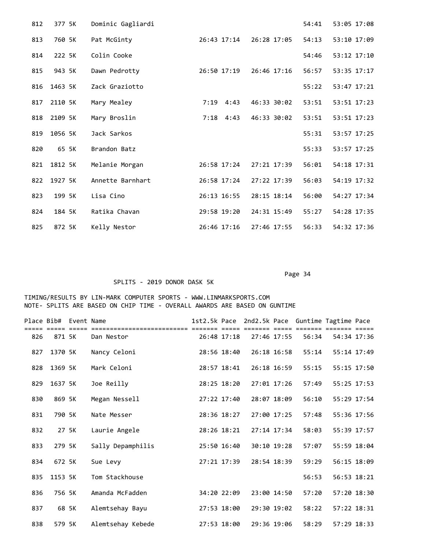| 812 | 377 5K  | Dominic Gagliardi |              |             | 54:41 | 53:05 17:08 |
|-----|---------|-------------------|--------------|-------------|-------|-------------|
| 813 | 760 5K  | Pat McGinty       | 26:43 17:14  | 26:28 17:05 | 54:13 | 53:10 17:09 |
| 814 | 222 5K  | Colin Cooke       |              |             | 54:46 | 53:12 17:10 |
| 815 | 943 5K  | Dawn Pedrotty     | 26:50 17:19  | 26:46 17:16 | 56:57 | 53:35 17:17 |
| 816 | 1463 5K | Zack Graziotto    |              |             | 55:22 | 53:47 17:21 |
| 817 | 2110 5K | Mary Mealey       | 7:19<br>4:43 | 46:33 30:02 | 53:51 | 53:51 17:23 |
| 818 | 2109 5K | Mary Broslin      | 4:43<br>7:18 | 46:33 30:02 | 53:51 | 53:51 17:23 |
| 819 | 1056 5K | Jack Sarkos       |              |             | 55:31 | 53:57 17:25 |
| 820 | 65 5K   | Brandon Batz      |              |             | 55:33 | 53:57 17:25 |
| 821 | 1812 5K | Melanie Morgan    | 26:58 17:24  | 27:21 17:39 | 56:01 | 54:18 17:31 |
| 822 | 1927 5K | Annette Barnhart  | 26:58 17:24  | 27:22 17:39 | 56:03 | 54:19 17:32 |
| 823 | 199 5K  | Lisa Cino         | 26:13 16:55  | 28:15 18:14 | 56:00 | 54:27 17:34 |
| 824 | 184 5K  | Ratika Chavan     | 29:58 19:20  | 24:31 15:49 | 55:27 | 54:28 17:35 |
| 825 | 872 5K  | Kelly Nestor      | 26:46 17:16  | 27:46 17:55 | 56:33 | 54:32 17:36 |

SPLITS - 2019 DONOR DASK 5K

|     | Place Bib# Event Name |       |                                        |             | 1st2.5k Pace 2nd2.5k Pace Guntime Tagtime Pace |             |       |             |  |
|-----|-----------------------|-------|----------------------------------------|-------------|------------------------------------------------|-------------|-------|-------------|--|
| 826 | 871 5K                |       | ========================<br>Dan Nestor | 26:48 17:18 | 27:46 17:55                                    |             | 56:34 | 54:34 17:36 |  |
| 827 | 1370 5K               |       | Nancy Celoni                           | 28:56 18:40 | 26:18 16:58                                    |             | 55:14 | 55:14 17:49 |  |
| 828 | 1369 5K               |       | Mark Celoni                            | 28:57 18:41 | 26:18 16:59                                    |             | 55:15 | 55:15 17:50 |  |
| 829 | 1637 5K               |       | Joe Reilly                             | 28:25 18:20 | 27:01 17:26                                    |             | 57:49 | 55:25 17:53 |  |
| 830 | 869 5K                |       | Megan Nessell                          | 27:22 17:40 | 28:07 18:09                                    |             | 56:10 | 55:29 17:54 |  |
| 831 | 790 5K                |       | Nate Messer                            | 28:36 18:27 | 27:00 17:25                                    |             | 57:48 | 55:36 17:56 |  |
| 832 |                       | 27 5K | Laurie Angele                          | 28:26 18:21 | 27:14 17:34                                    |             | 58:03 | 55:39 17:57 |  |
| 833 | 279 5K                |       | Sally Depamphilis                      | 25:50 16:40 |                                                | 30:10 19:28 | 57:07 | 55:59 18:04 |  |
| 834 | 672 5K                |       | Sue Levy                               | 27:21 17:39 | 28:54 18:39                                    |             | 59:29 | 56:15 18:09 |  |
| 835 | 1153 5K               |       | Tom Stackhouse                         |             |                                                |             | 56:53 | 56:53 18:21 |  |
| 836 | 756 5K                |       | Amanda McFadden                        | 34:20 22:09 | 23:00 14:50                                    |             | 57:20 | 57:20 18:30 |  |
| 837 |                       | 68 5K | Alemtsehay Bayu                        | 27:53 18:00 | 29:30 19:02                                    |             | 58:22 | 57:22 18:31 |  |
| 838 | 579 5K                |       | Alemtsehay Kebede                      | 27:53 18:00 | 29:36 19:06                                    |             | 58:29 | 57:29 18:33 |  |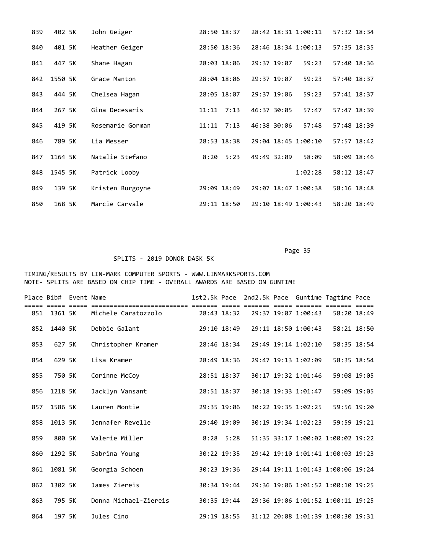| 839 | 402 5K  | John Geiger      | 28:50 18:37   | 28:42 18:31 1:00:11  | 57:32 18:34 |
|-----|---------|------------------|---------------|----------------------|-------------|
| 840 | 401 5K  | Heather Geiger   | 28:50 18:36   | 28:46 18:34 1:00:13  | 57:35 18:35 |
| 841 | 447 5K  | Shane Hagan      | 28:03 18:06   | 29:37 19:07<br>59:23 | 57:40 18:36 |
| 842 | 1550 5K | Grace Manton     | 28:04 18:06   | 29:37 19:07<br>59:23 | 57:40 18:37 |
| 843 | 444 5K  | Chelsea Hagan    | 28:05 18:07   | 29:37 19:06<br>59:23 | 57:41 18:37 |
| 844 | 267 5K  | Gina Decesaris   | 11:11<br>7:13 | 46:37 30:05<br>57:47 | 57:47 18:39 |
| 845 | 419 5K  | Rosemarie Gorman | 11:11<br>7:13 | 46:38 30:06<br>57:48 | 57:48 18:39 |
| 846 | 789 5K  | Lia Messer       | 28:53 18:38   | 29:04 18:45 1:00:10  | 57:57 18:42 |
| 847 | 1164 5K | Natalie Stefano  | $8:20$ 5:23   | 49:49 32:09<br>58:09 | 58:09 18:46 |
| 848 | 1545 5K | Patrick Looby    |               | 1:02:28              | 58:12 18:47 |
| 849 | 139 5K  | Kristen Burgoyne | 29:09 18:49   | 29:07 18:47 1:00:38  | 58:16 18:48 |
| 850 | 168 5K  | Marcie Carvale   | 29:11 18:50   | 29:10 18:49 1:00:43  | 58:20 18:49 |

### SPLITS - 2019 DONOR DASK 5K

|     | Place Bib# Event Name | === ===== |                       |             |  |                     | 1st2.5k Pace 2nd2.5k Pace Guntime Tagtime Pace |  |
|-----|-----------------------|-----------|-----------------------|-------------|--|---------------------|------------------------------------------------|--|
| 851 | 1361 5K               |           | Michele Caratozzolo   | 28:43 18:32 |  | 29:37 19:07 1:00:43 | 58:20 18:49                                    |  |
| 852 | 1440 5K               |           | Debbie Galant         | 29:10 18:49 |  | 29:11 18:50 1:00:43 | 58:21 18:50                                    |  |
| 853 | 627 5K                |           | Christopher Kramer    | 28:46 18:34 |  | 29:49 19:14 1:02:10 | 58:35 18:54                                    |  |
| 854 | 629 5K                |           | Lisa Kramer           | 28:49 18:36 |  | 29:47 19:13 1:02:09 | 58:35 18:54                                    |  |
| 855 | 750 5K                |           | Corinne McCoy         | 28:51 18:37 |  | 30:17 19:32 1:01:46 | 59:08 19:05                                    |  |
| 856 | 1218 5K               |           | Jacklyn Vansant       | 28:51 18:37 |  | 30:18 19:33 1:01:47 | 59:09 19:05                                    |  |
| 857 | 1586 5K               |           | Lauren Montie         | 29:35 19:06 |  | 30:22 19:35 1:02:25 | 59:56 19:20                                    |  |
| 858 | 1013 5K               |           | Jennafer Revelle      | 29:40 19:09 |  | 30:19 19:34 1:02:23 | 59:59 19:21                                    |  |
| 859 | 800 5K                |           | Valerie Miller        | $8:28$ 5:28 |  |                     | 51:35 33:17 1:00:02 1:00:02 19:22              |  |
| 860 | 1292 5K               |           | Sabrina Young         | 30:22 19:35 |  |                     | 29:42 19:10 1:01:41 1:00:03 19:23              |  |
| 861 | 1081 5K               |           | Georgia Schoen        | 30:23 19:36 |  |                     | 29:44 19:11 1:01:43 1:00:06 19:24              |  |
| 862 | 1302 5K               |           | James Ziereis         | 30:34 19:44 |  |                     | 29:36 19:06 1:01:52 1:00:10 19:25              |  |
| 863 | 795 5K                |           | Donna Michael-Ziereis | 30:35 19:44 |  |                     | 29:36 19:06 1:01:52 1:00:11 19:25              |  |
| 864 | 197 5K                |           | Jules Cino            | 29:19 18:55 |  |                     | 31:12 20:08 1:01:39 1:00:30 19:31              |  |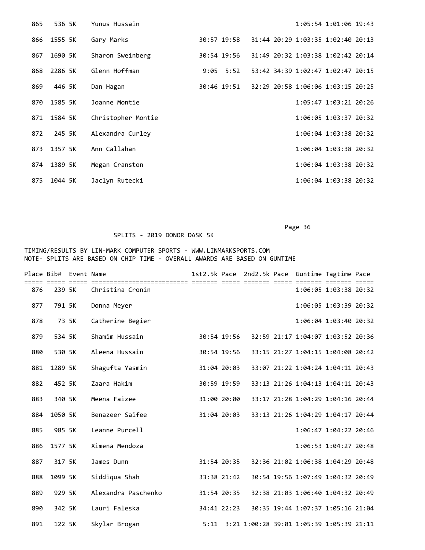| 865 | 536 5K  | Yunus Hussain      |             | 1:05:54 1:01:06 19:43             |  |
|-----|---------|--------------------|-------------|-----------------------------------|--|
| 866 | 1555 5K | Gary Marks         | 30:57 19:58 | 31:44 20:29 1:03:35 1:02:40 20:13 |  |
| 867 | 1690 5K | Sharon Sweinberg   | 30:54 19:56 | 31:49 20:32 1:03:38 1:02:42 20:14 |  |
| 868 | 2286 5K | Glenn Hoffman      | $9:05$ 5:52 | 53:42 34:39 1:02:47 1:02:47 20:15 |  |
| 869 | 446 5K  | Dan Hagan          | 30:46 19:51 | 32:29 20:58 1:06:06 1:03:15 20:25 |  |
| 870 | 1585 5K | Joanne Montie      |             | 1:05:47 1:03:21 20:26             |  |
| 871 | 1584 5K | Christopher Montie |             | 1:06:05 1:03:37 20:32             |  |
| 872 | 245 5K  | Alexandra Curley   |             | 1:06:04 1:03:38 20:32             |  |
| 873 | 1357 5K | Ann Callahan       |             | $1:06:04$ $1:03:38$ $20:32$       |  |
| 874 | 1389 5K | Megan Cranston     |             | 1:06:04 1:03:38 20:32             |  |
| 875 | 1044 5K | Jaclyn Rutecki     |             | 1:06:04 1:03:38 20:32             |  |

# SPLITS - 2019 DONOR DASK 5K

|     | Place Bib# Event Name |                     |             |             | 1st2.5k Pace 2nd2.5k Pace Guntime Tagtime Pace |                                   |                       |  |
|-----|-----------------------|---------------------|-------------|-------------|------------------------------------------------|-----------------------------------|-----------------------|--|
| 876 | 239 5K                | Christina Cronin    |             |             |                                                |                                   | 1:06:05 1:03:38 20:32 |  |
| 877 | 791 5K                | Donna Meyer         |             |             |                                                |                                   | 1:06:05 1:03:39 20:32 |  |
| 878 | 73 5K                 | Catherine Begier    |             |             |                                                |                                   | 1:06:04 1:03:40 20:32 |  |
| 879 | 534 5K                | Shamim Hussain      |             | 30:54 19:56 |                                                | 32:59 21:17 1:04:07 1:03:52 20:36 |                       |  |
| 880 | 530 5K                | Aleena Hussain      |             | 30:54 19:56 |                                                | 33:15 21:27 1:04:15 1:04:08 20:42 |                       |  |
| 881 | 1289 5K               | Shagufta Yasmin     | 31:04 20:03 |             |                                                | 33:07 21:22 1:04:24 1:04:11 20:43 |                       |  |
| 882 | 452 5K                | Zaara Hakim         |             | 30:59 19:59 |                                                | 33:13 21:26 1:04:13 1:04:11 20:43 |                       |  |
| 883 | 340 5K                | Meena Faizee        |             | 31:00 20:00 |                                                | 33:17 21:28 1:04:29 1:04:16 20:44 |                       |  |
| 884 | 1050 5K               | Benazeer Saifee     |             | 31:04 20:03 |                                                | 33:13 21:26 1:04:29 1:04:17 20:44 |                       |  |
| 885 | 985 5K                | Leanne Purcell      |             |             |                                                |                                   | 1:06:47 1:04:22 20:46 |  |
| 886 | 1577 5K               | Ximena Mendoza      |             |             |                                                |                                   | 1:06:53 1:04:27 20:48 |  |
| 887 | 317 5K                | James Dunn          |             | 31:54 20:35 |                                                | 32:36 21:02 1:06:38 1:04:29 20:48 |                       |  |
| 888 | 1099 5K               | Siddiqua Shah       |             | 33:38 21:42 |                                                | 30:54 19:56 1:07:49 1:04:32 20:49 |                       |  |
| 889 | 929 5K                | Alexandra Paschenko | 31:54 20:35 |             |                                                | 32:38 21:03 1:06:40 1:04:32 20:49 |                       |  |
| 890 | 342 5K                | Lauri Faleska       |             | 34:41 22:23 |                                                | 30:35 19:44 1:07:37 1:05:16 21:04 |                       |  |
| 891 | 122 5K                | Skylar Brogan       |             |             | 5:11 3:21 1:00:28 39:01 1:05:39 1:05:39 21:11  |                                   |                       |  |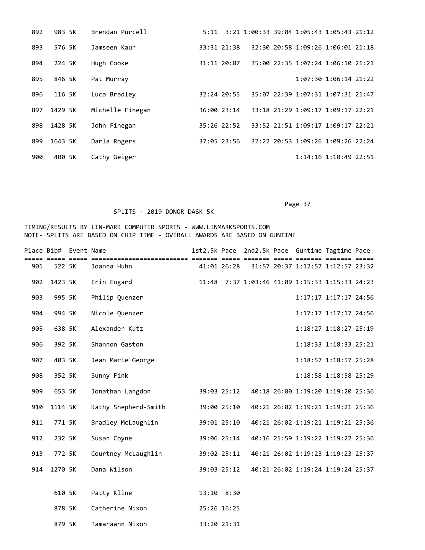| 892 | 983 5K  | Brendan Purcell  |               | 5:11 3:21 1:00:33 39:04 1:05:43 1:05:43 21:12 |  |                                   |  |
|-----|---------|------------------|---------------|-----------------------------------------------|--|-----------------------------------|--|
| 893 | 576 5K  | Jamseen Kaur     | 33:31 21:38   |                                               |  | 32:30 20:58 1:09:26 1:06:01 21:18 |  |
| 894 | 224 5K  | Hugh Cooke       | 31:11 20:07   |                                               |  | 35:00 22:35 1:07:24 1:06:10 21:21 |  |
| 895 | 846 5K  | Pat Murray       |               |                                               |  | 1:07:30 1:06:14 21:22             |  |
| 896 | 116 5K  | Luca Bradley     | 32:24 20:55   |                                               |  | 35:07 22:39 1:07:31 1:07:31 21:47 |  |
| 897 | 1429 5K | Michelle Finegan | 36:00 23:14   |                                               |  | 33:18 21:29 1:09:17 1:09:17 22:21 |  |
| 898 | 1428 5K | John Finegan     | $35:26$ 22:52 |                                               |  | 33:52 21:51 1:09:17 1:09:17 22:21 |  |
| 899 | 1643 5K | Darla Rogers     | 37:05 23:56   |                                               |  | 32:22 20:53 1:09:26 1:09:26 22:24 |  |
| 900 | 400 SK  | Cathy Geiger     |               |                                               |  | $1:14:16$ $1:10:49$ 22:51         |  |

### SPLITS - 2019 DONOR DASK 5K

|     | Place Bib# Event Name |                      |             | ==== ===:   | 1st2.5k Pace 2nd2.5k Pace Guntime Tagtime Pace |                                   |                       |  |
|-----|-----------------------|----------------------|-------------|-------------|------------------------------------------------|-----------------------------------|-----------------------|--|
| 901 | 522 5K                | Joanna Huhn          | 41:01 26:28 |             |                                                | 31:57 20:37 1:12:57 1:12:57 23:32 |                       |  |
| 902 | 1423 5K               | Erin Engard          | 11:48       |             | 7:37 1:03:46 41:09 1:15:33 1:15:33 24:23       |                                   |                       |  |
| 903 | 995 5K                | Philip Quenzer       |             |             |                                                |                                   | 1:17:17 1:17:17 24:56 |  |
| 904 | 994 5K                | Nicole Quenzer       |             |             |                                                |                                   | 1:17:17 1:17:17 24:56 |  |
| 905 | 638 5K                | Alexander Kutz       |             |             |                                                |                                   | 1:18:27 1:18:27 25:19 |  |
| 906 | 392 5K                | Shannon Gaston       |             |             |                                                |                                   | 1:18:33 1:18:33 25:21 |  |
| 907 | 403 5K                | Jean Marie George    |             |             |                                                |                                   | 1:18:57 1:18:57 25:28 |  |
| 908 | 352 5K                | Sunny Fink           |             |             |                                                |                                   | 1:18:58 1:18:58 25:29 |  |
| 909 | 653 5K                | Jonathan Langdon     |             | 39:03 25:12 |                                                | 40:18 26:00 1:19:20 1:19:20 25:36 |                       |  |
| 910 | 1114 5K               | Kathy Shepherd-Smith | 39:00 25:10 |             |                                                | 40:21 26:02 1:19:21 1:19:21 25:36 |                       |  |
| 911 | 771 5K                | Bradley McLaughlin   | 39:01 25:10 |             |                                                | 40:21 26:02 1:19:21 1:19:21 25:36 |                       |  |
| 912 | 232 5K                | Susan Coyne          |             | 39:06 25:14 |                                                | 40:16 25:59 1:19:22 1:19:22 25:36 |                       |  |
| 913 | 772 5K                | Courtney McLaughlin  | 39:02 25:11 |             |                                                | 40:21 26:02 1:19:23 1:19:23 25:37 |                       |  |
| 914 | 1270 5K               | Dana Wilson          |             | 39:03 25:12 |                                                | 40:21 26:02 1:19:24 1:19:24 25:37 |                       |  |
|     |                       |                      |             |             |                                                |                                   |                       |  |
|     | 610 5K                | Patty Kline          | 13:10 8:30  |             |                                                |                                   |                       |  |
|     | 878 5K                | Catherine Nixon      | 25:26 16:25 |             |                                                |                                   |                       |  |
|     | 879 5K                | Tamaraann Nixon      |             | 33:20 21:31 |                                                |                                   |                       |  |